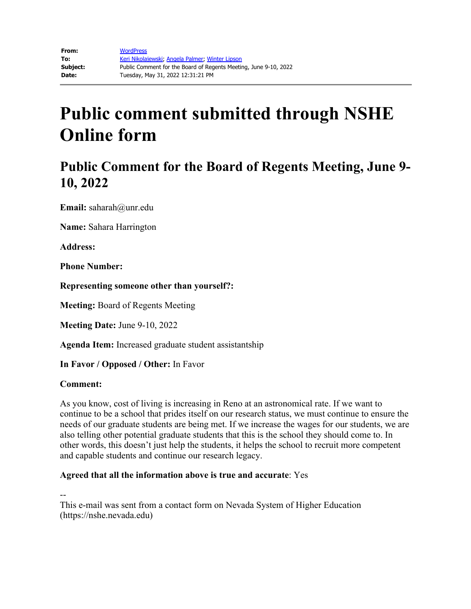## **Public Comment for the Board of Regents Meeting, June 9- 10, 2022**

**Email:** saharah@unr.edu

**Name:** Sahara Harrington

**Address:** 

**Phone Number:** 

**Representing someone other than yourself?:**

**Meeting:** Board of Regents Meeting

**Meeting Date:** June 9-10, 2022

**Agenda Item:** Increased graduate student assistantship

**In Favor / Opposed / Other:** In Favor

#### **Comment:**

As you know, cost of living is increasing in Reno at an astronomical rate. If we want to continue to be a school that prides itself on our research status, we must continue to ensure the needs of our graduate students are being met. If we increase the wages for our students, we are also telling other potential graduate students that this is the school they should come to. In other words, this doesn't just help the students, it helps the school to recruit more competent and capable students and continue our research legacy.

### **Agreed that all the information above is true and accurate**: Yes

--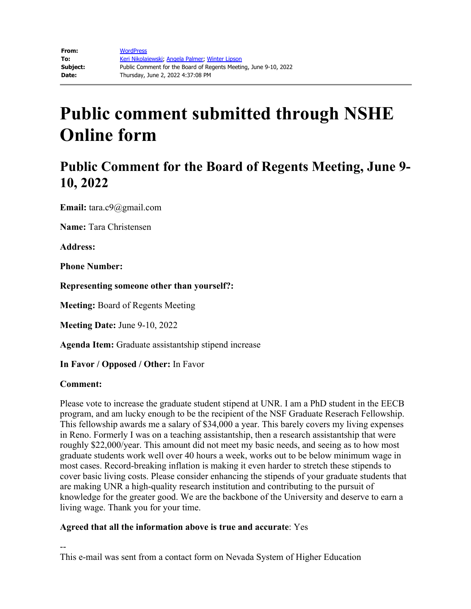## **Public Comment for the Board of Regents Meeting, June 9- 10, 2022**

**Email:** tara.c9@gmail.com

**Name:** Tara Christensen

**Address:** 

**Phone Number:** 

**Representing someone other than yourself?:**

**Meeting:** Board of Regents Meeting

**Meeting Date:** June 9-10, 2022

**Agenda Item:** Graduate assistantship stipend increase

**In Favor / Opposed / Other:** In Favor

#### **Comment:**

Please vote to increase the graduate student stipend at UNR. I am a PhD student in the EECB program, and am lucky enough to be the recipient of the NSF Graduate Reserach Fellowship. This fellowship awards me a salary of \$34,000 a year. This barely covers my living expenses in Reno. Formerly I was on a teaching assistantship, then a research assistantship that were roughly \$22,000/year. This amount did not meet my basic needs, and seeing as to how most graduate students work well over 40 hours a week, works out to be below minimum wage in most cases. Record-breaking inflation is making it even harder to stretch these stipends to cover basic living costs. Please consider enhancing the stipends of your graduate students that are making UNR a high-quality research institution and contributing to the pursuit of knowledge for the greater good. We are the backbone of the University and deserve to earn a living wage. Thank you for your time.

### **Agreed that all the information above is true and accurate**: Yes

-- This e-mail was sent from a contact form on Nevada System of Higher Education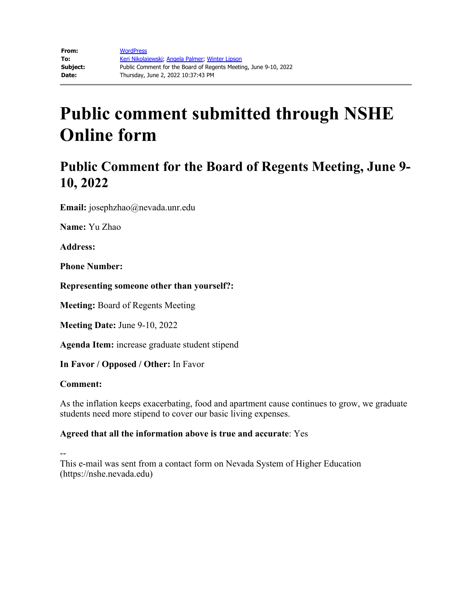## **Public Comment for the Board of Regents Meeting, June 9- 10, 2022**

**Email:** josephzhao@nevada.unr.edu

**Name:** Yu Zhao

**Address:**

**Phone Number:**

**Representing someone other than yourself?:**

**Meeting:** Board of Regents Meeting

**Meeting Date:** June 9-10, 2022

**Agenda Item:** increase graduate student stipend

**In Favor / Opposed / Other:** In Favor

#### **Comment:**

As the inflation keeps exacerbating, food and apartment cause continues to grow, we graduate students need more stipend to cover our basic living expenses.

### **Agreed that all the information above is true and accurate**: Yes

--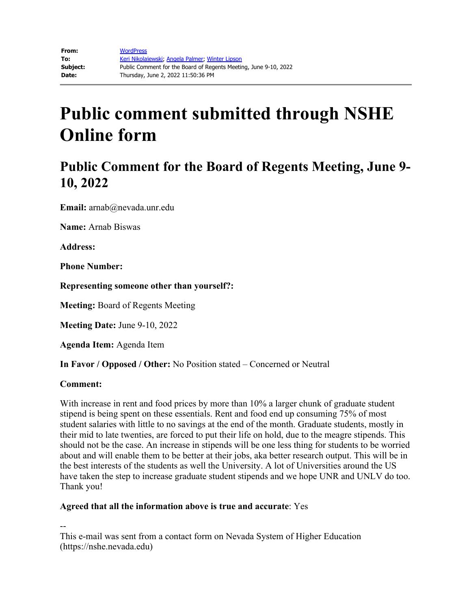## **Public Comment for the Board of Regents Meeting, June 9- 10, 2022**

**Email:** arnab@nevada.unr.edu

**Name:** Arnab Biswas

**Address:**

**Phone Number:**

**Representing someone other than yourself?:**

**Meeting:** Board of Regents Meeting

**Meeting Date:** June 9-10, 2022

**Agenda Item:** Agenda Item

**In Favor / Opposed / Other:** No Position stated – Concerned or Neutral

#### **Comment:**

With increase in rent and food prices by more than 10% a larger chunk of graduate student stipend is being spent on these essentials. Rent and food end up consuming 75% of most student salaries with little to no savings at the end of the month. Graduate students, mostly in their mid to late twenties, are forced to put their life on hold, due to the meagre stipends. This should not be the case. An increase in stipends will be one less thing for students to be worried about and will enable them to be better at their jobs, aka better research output. This will be in the best interests of the students as well the University. A lot of Universities around the US have taken the step to increase graduate student stipends and we hope UNR and UNLV do too. Thank you!

### **Agreed that all the information above is true and accurate**: Yes

--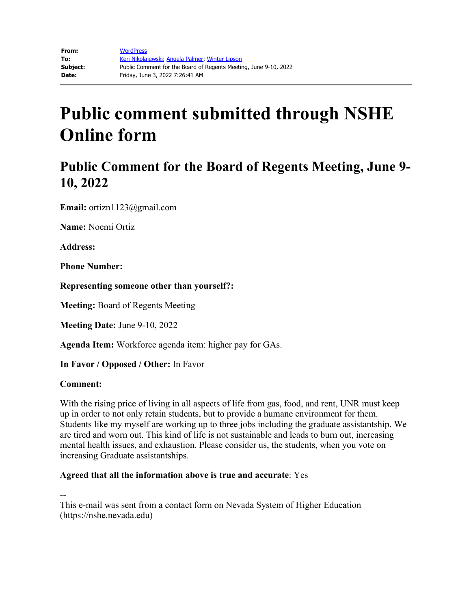## **Public Comment for the Board of Regents Meeting, June 9- 10, 2022**

**Email:** ortizn1123@gmail.com

**Name:** Noemi Ortiz

**Address:** 

**Phone Number:** 

**Representing someone other than yourself?:**

**Meeting:** Board of Regents Meeting

**Meeting Date:** June 9-10, 2022

**Agenda Item:** Workforce agenda item: higher pay for GAs.

**In Favor / Opposed / Other:** In Favor

### **Comment:**

With the rising price of living in all aspects of life from gas, food, and rent, UNR must keep up in order to not only retain students, but to provide a humane environment for them. Students like my myself are working up to three jobs including the graduate assistantship. We are tired and worn out. This kind of life is not sustainable and leads to burn out, increasing mental health issues, and exhaustion. Please consider us, the students, when you vote on increasing Graduate assistantships.

### **Agreed that all the information above is true and accurate**: Yes

--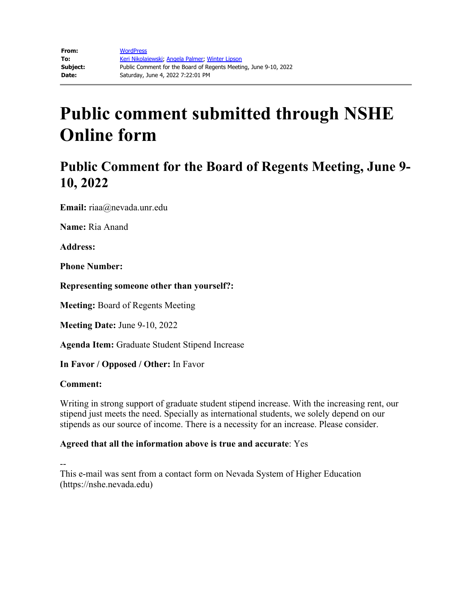## **Public Comment for the Board of Regents Meeting, June 9- 10, 2022**

**Email:** riaa@nevada.unr.edu

**Name:** Ria Anand

**Address:** 

**Phone Number:** 

**Representing someone other than yourself?:**

**Meeting:** Board of Regents Meeting

**Meeting Date:** June 9-10, 2022

**Agenda Item:** Graduate Student Stipend Increase

**In Favor / Opposed / Other:** In Favor

#### **Comment:**

Writing in strong support of graduate student stipend increase. With the increasing rent, our stipend just meets the need. Specially as international students, we solely depend on our stipends as our source of income. There is a necessity for an increase. Please consider.

### **Agreed that all the information above is true and accurate**: Yes

--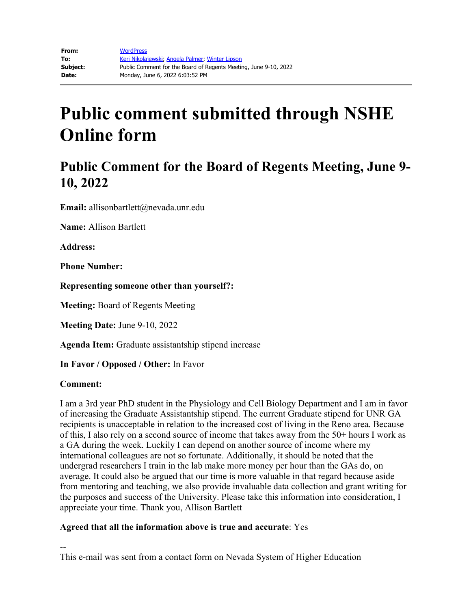## **Public Comment for the Board of Regents Meeting, June 9- 10, 2022**

**Email:** allisonbartlett@nevada.unr.edu

**Name:** Allison Bartlett

**Address:** 

**Phone Number:** 

**Representing someone other than yourself?:**

**Meeting:** Board of Regents Meeting

**Meeting Date:** June 9-10, 2022

**Agenda Item:** Graduate assistantship stipend increase

**In Favor / Opposed / Other:** In Favor

#### **Comment:**

I am a 3rd year PhD student in the Physiology and Cell Biology Department and I am in favor of increasing the Graduate Assistantship stipend. The current Graduate stipend for UNR GA recipients is unacceptable in relation to the increased cost of living in the Reno area. Because of this, I also rely on a second source of income that takes away from the 50+ hours I work as a GA during the week. Luckily I can depend on another source of income where my international colleagues are not so fortunate. Additionally, it should be noted that the undergrad researchers I train in the lab make more money per hour than the GAs do, on average. It could also be argued that our time is more valuable in that regard because aside from mentoring and teaching, we also provide invaluable data collection and grant writing for the purposes and success of the University. Please take this information into consideration, I appreciate your time. Thank you, Allison Bartlett

### **Agreed that all the information above is true and accurate**: Yes

-- This e-mail was sent from a contact form on Nevada System of Higher Education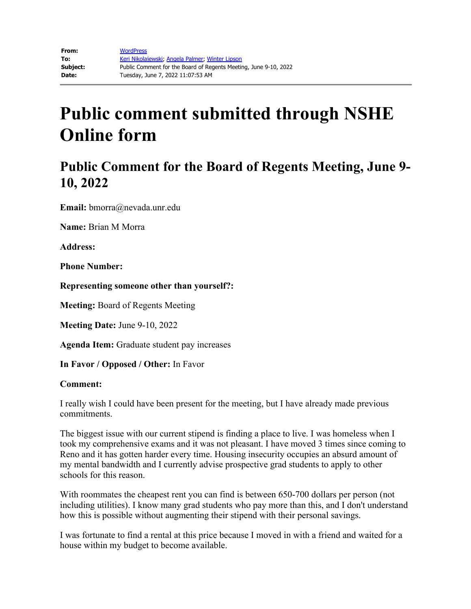## **Public Comment for the Board of Regents Meeting, June 9- 10, 2022**

**Email:** bmorra@nevada.unr.edu

**Name:** Brian M Morra

**Address:** 

**Phone Number:** 

**Representing someone other than yourself?:**

**Meeting:** Board of Regents Meeting

**Meeting Date:** June 9-10, 2022

**Agenda Item:** Graduate student pay increases

**In Favor / Opposed / Other:** In Favor

#### **Comment:**

I really wish I could have been present for the meeting, but I have already made previous commitments.

The biggest issue with our current stipend is finding a place to live. I was homeless when I took my comprehensive exams and it was not pleasant. I have moved 3 times since coming to Reno and it has gotten harder every time. Housing insecurity occupies an absurd amount of my mental bandwidth and I currently advise prospective grad students to apply to other schools for this reason.

With roommates the cheapest rent you can find is between 650-700 dollars per person (not including utilities). I know many grad students who pay more than this, and I don't understand how this is possible without augmenting their stipend with their personal savings.

I was fortunate to find a rental at this price because I moved in with a friend and waited for a house within my budget to become available.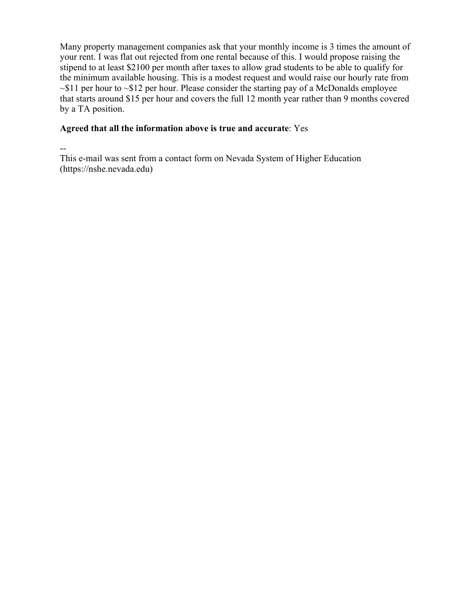Many property management companies ask that your monthly income is 3 times the amount of your rent. I was flat out rejected from one rental because of this. I would propose raising the stipend to at least \$2100 per month after taxes to allow grad students to be able to qualify for the minimum available housing. This is a modest request and would raise our hourly rate from  $\sim$ \$11 per hour to  $\sim$ \$12 per hour. Please consider the starting pay of a McDonalds employee that starts around \$15 per hour and covers the full 12 month year rather than 9 months covered by a TA position.

### **Agreed that all the information above is true and accurate**: Yes

--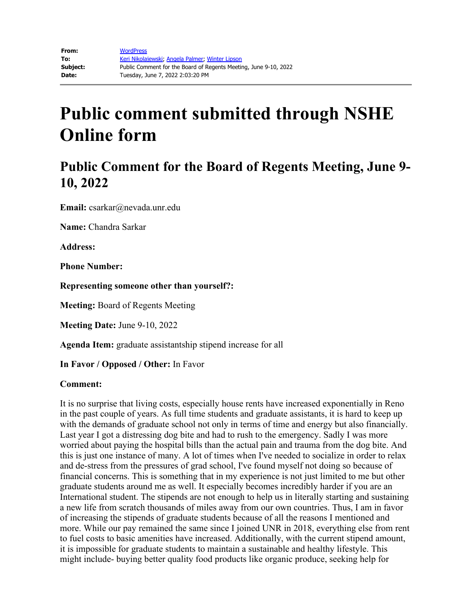## **Public Comment for the Board of Regents Meeting, June 9- 10, 2022**

**Email:** csarkar@nevada.unr.edu

**Name:** Chandra Sarkar

**Address:**

**Phone Number:**

**Representing someone other than yourself?:**

**Meeting:** Board of Regents Meeting

**Meeting Date:** June 9-10, 2022

**Agenda Item:** graduate assistantship stipend increase for all

**In Favor / Opposed / Other:** In Favor

### **Comment:**

It is no surprise that living costs, especially house rents have increased exponentially in Reno in the past couple of years. As full time students and graduate assistants, it is hard to keep up with the demands of graduate school not only in terms of time and energy but also financially. Last year I got a distressing dog bite and had to rush to the emergency. Sadly I was more worried about paying the hospital bills than the actual pain and trauma from the dog bite. And this is just one instance of many. A lot of times when I've needed to socialize in order to relax and de-stress from the pressures of grad school, I've found myself not doing so because of financial concerns. This is something that in my experience is not just limited to me but other graduate students around me as well. It especially becomes incredibly harder if you are an International student. The stipends are not enough to help us in literally starting and sustaining a new life from scratch thousands of miles away from our own countries. Thus, I am in favor of increasing the stipends of graduate students because of all the reasons I mentioned and more. While our pay remained the same since I joined UNR in 2018, everything else from rent to fuel costs to basic amenities have increased. Additionally, with the current stipend amount, it is impossible for graduate students to maintain a sustainable and healthy lifestyle. This might include- buying better quality food products like organic produce, seeking help for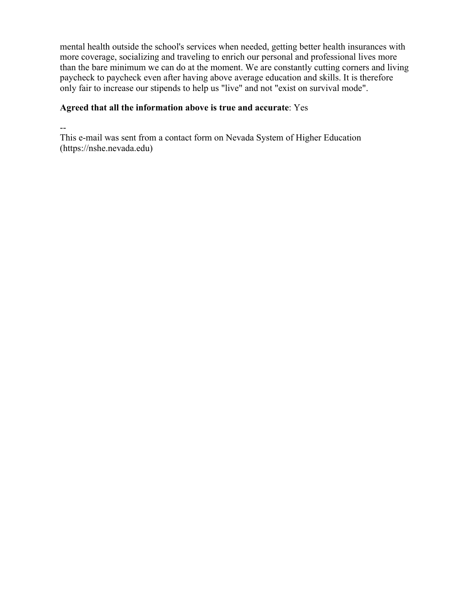mental health outside the school's services when needed, getting better health insurances with more coverage, socializing and traveling to enrich our personal and professional lives more than the bare minimum we can do at the moment. We are constantly cutting corners and living paycheck to paycheck even after having above average education and skills. It is therefore only fair to increase our stipends to help us "live" and not "exist on survival mode".

### **Agreed that all the information above is true and accurate**: Yes

--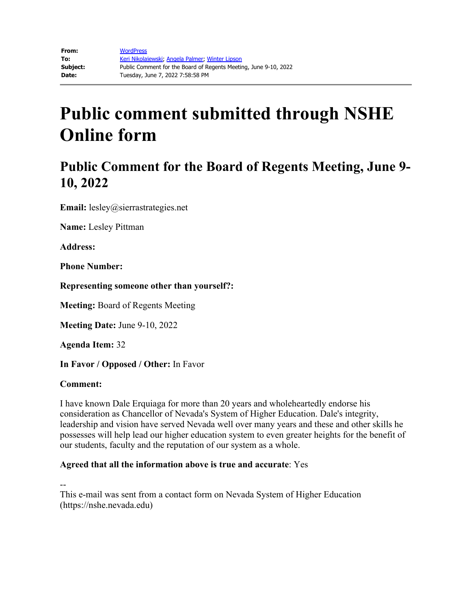## **Public Comment for the Board of Regents Meeting, June 9- 10, 2022**

**Email:** lesley@sierrastrategies.net

**Name:** Lesley Pittman

**Address:** 

**Phone Number:** 

**Representing someone other than yourself?:**

**Meeting:** Board of Regents Meeting

**Meeting Date:** June 9-10, 2022

**Agenda Item:** 32

**In Favor / Opposed / Other:** In Favor

#### **Comment:**

I have known Dale Erquiaga for more than 20 years and wholeheartedly endorse his consideration as Chancellor of Nevada's System of Higher Education. Dale's integrity, leadership and vision have served Nevada well over many years and these and other skills he possesses will help lead our higher education system to even greater heights for the benefit of our students, faculty and the reputation of our system as a whole.

### **Agreed that all the information above is true and accurate**: Yes

--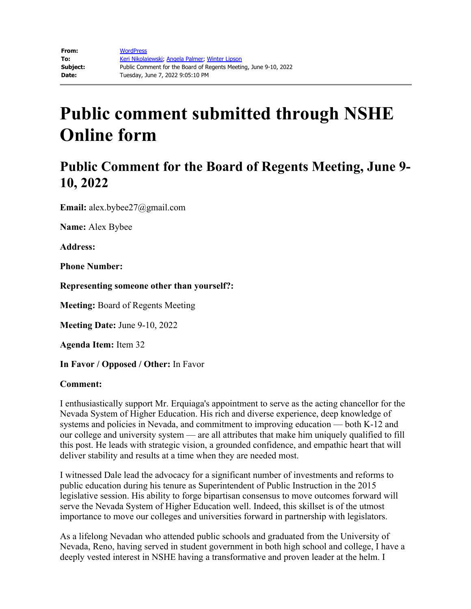## **Public Comment for the Board of Regents Meeting, June 9- 10, 2022**

**Email:** alex.bybee27@gmail.com

**Name:** Alex Bybee

**Address:** 

**Phone Number:** 

**Representing someone other than yourself?:**

**Meeting:** Board of Regents Meeting

**Meeting Date:** June 9-10, 2022

**Agenda Item:** Item 32

**In Favor / Opposed / Other:** In Favor

#### **Comment:**

I enthusiastically support Mr. Erquiaga's appointment to serve as the acting chancellor for the Nevada System of Higher Education. His rich and diverse experience, deep knowledge of systems and policies in Nevada, and commitment to improving education — both K-12 and our college and university system — are all attributes that make him uniquely qualified to fill this post. He leads with strategic vision, a grounded confidence, and empathic heart that will deliver stability and results at a time when they are needed most.

I witnessed Dale lead the advocacy for a significant number of investments and reforms to public education during his tenure as Superintendent of Public Instruction in the 2015 legislative session. His ability to forge bipartisan consensus to move outcomes forward will serve the Nevada System of Higher Education well. Indeed, this skillset is of the utmost importance to move our colleges and universities forward in partnership with legislators.

As a lifelong Nevadan who attended public schools and graduated from the University of Nevada, Reno, having served in student government in both high school and college, I have a deeply vested interest in NSHE having a transformative and proven leader at the helm. I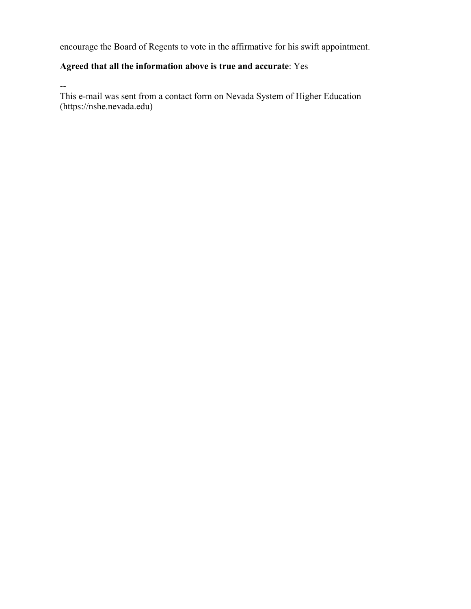encourage the Board of Regents to vote in the affirmative for his swift appointment.

### **Agreed that all the information above is true and accurate**: Yes

--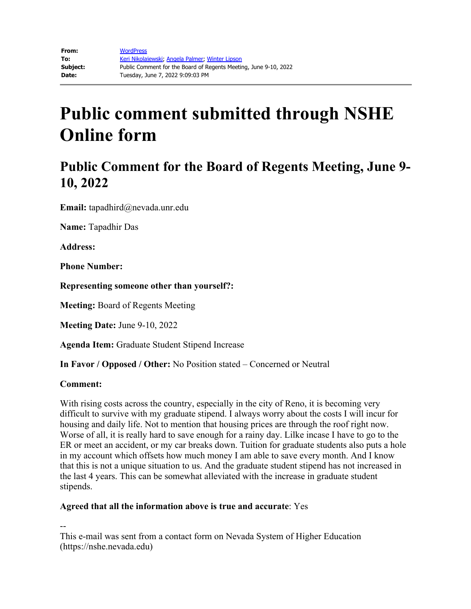## **Public Comment for the Board of Regents Meeting, June 9- 10, 2022**

**Email:** tapadhird@nevada.unr.edu

**Name:** Tapadhir Das

**Address:** 

**Phone Number:** 

**Representing someone other than yourself?:**

**Meeting:** Board of Regents Meeting

**Meeting Date:** June 9-10, 2022

**Agenda Item:** Graduate Student Stipend Increase

**In Favor / Opposed / Other:** No Position stated – Concerned or Neutral

### **Comment:**

With rising costs across the country, especially in the city of Reno, it is becoming very difficult to survive with my graduate stipend. I always worry about the costs I will incur for housing and daily life. Not to mention that housing prices are through the roof right now. Worse of all, it is really hard to save enough for a rainy day. Lilke incase I have to go to the ER or meet an accident, or my car breaks down. Tuition for graduate students also puts a hole in my account which offsets how much money I am able to save every month. And I know that this is not a unique situation to us. And the graduate student stipend has not increased in the last 4 years. This can be somewhat alleviated with the increase in graduate student stipends.

### **Agreed that all the information above is true and accurate**: Yes

--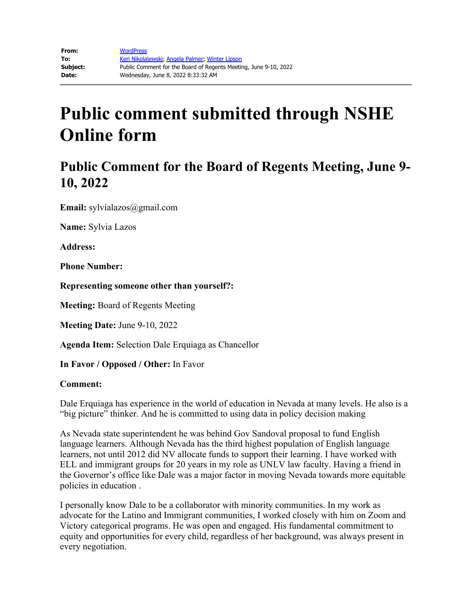## **Public Comment for the Board of Regents Meeting, June 9- 10, 2022**

**Email:** sylvialazos@gmail.com

**Name:** Sylvia Lazos

**Address:** 

**Phone Number:** 

**Representing someone other than yourself?:**

**Meeting:** Board of Regents Meeting

**Meeting Date:** June 9-10, 2022

**Agenda Item:** Selection Dale Erquiaga as Chancellor

**In Favor / Opposed / Other:** In Favor

#### **Comment:**

Dale Erquiaga has experience in the world of education in Nevada at many levels. He also is a "big picture" thinker. And he is committed to using data in policy decision making

As Nevada state superintendent he was behind Gov Sandoval proposal to fund English language learners. Although Nevada has the third highest population of English language learners, not until 2012 did NV allocate funds to support their learning. I have worked with ELL and immigrant groups for 20 years in my role as UNLV law faculty. Having a friend in the Governor's office like Dale was a major factor in moving Nevada towards more equitable policies in education .

I personally know Dale to be a collaborator with minority communities. In my work as advocate for the Latino and Immigrant communities, I worked closely with him on Zoom and Victory categorical programs. He was open and engaged. His fundamental commitment to equity and opportunities for every child, regardless of her background, was always present in every negotiation.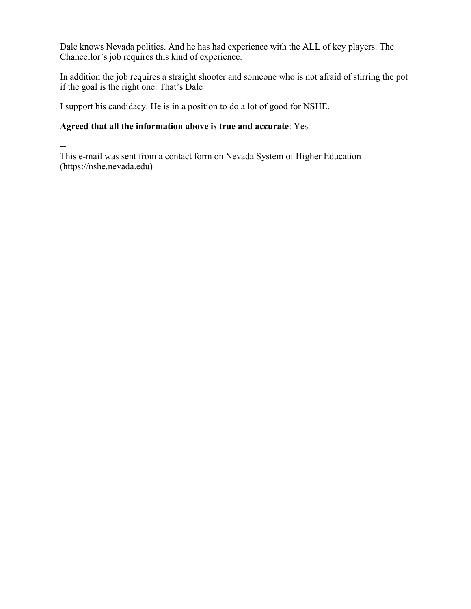Dale knows Nevada politics. And he has had experience with the ALL of key players. The Chancellor's job requires this kind of experience.

In addition the job requires a straight shooter and someone who is not afraid of stirring the pot if the goal is the right one. That's Dale

I support his candidacy. He is in a position to do a lot of good for NSHE.

### **Agreed that all the information above is true and accurate**: Yes

--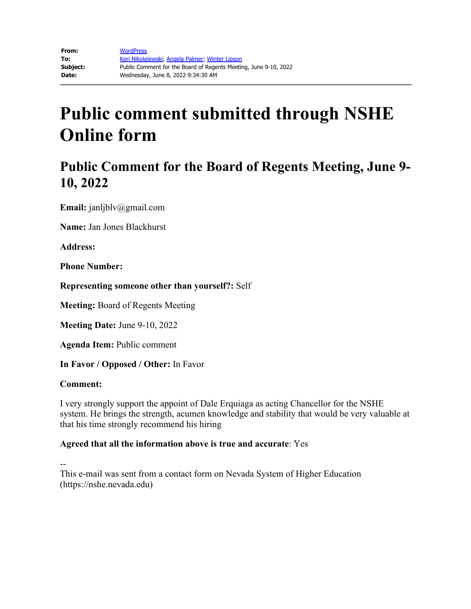## **Public Comment for the Board of Regents Meeting, June 9- 10, 2022**

**Email:** janljblv@gmail.com

**Name:** Jan Jones Blackhurst

**Address:** 

**Phone Number:** 

**Representing someone other than yourself?:** Self

**Meeting:** Board of Regents Meeting

**Meeting Date:** June 9-10, 2022

**Agenda Item:** Public comment

**In Favor / Opposed / Other:** In Favor

#### **Comment:**

I very strongly support the appoint of Dale Erquiaga as acting Chancellor for the NSHE system. He brings the strength, acumen knowledge and stability that would be very valuable at that his time strongly recommend his hiring

### **Agreed that all the information above is true and accurate**: Yes

--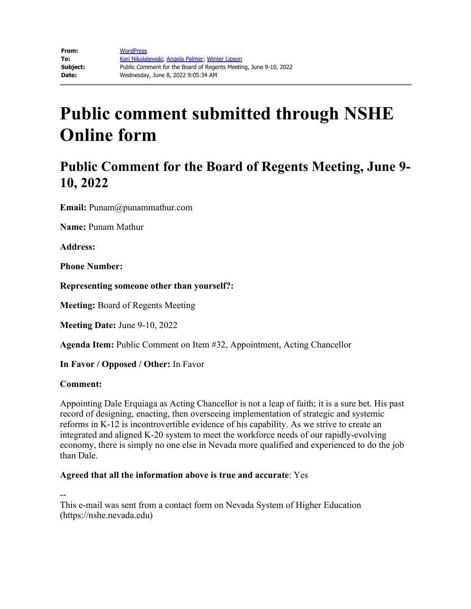## **Public Comment for the Board of Regents Meeting, June 9- 10, 2022**

**Email:** Punam@punammathur.com

**Name:** Punam Mathur

**Address:** 

**Phone Number:** 

**Representing someone other than yourself?:**

**Meeting:** Board of Regents Meeting

**Meeting Date:** June 9-10, 2022

**Agenda Item:** Public Comment on Item #32, Appointment, Acting Chancellor

**In Favor / Opposed / Other:** In Favor

#### **Comment:**

Appointing Dale Erquiaga as Acting Chancellor is not a leap of faith; it is a sure bet. His past record of designing, enacting, then overseeing implementation of strategic and systemic reforms in K-12 is incontrovertible evidence of his capability. As we strive to create an integrated and aligned K-20 system to meet the workforce needs of our rapidly-evolving economy, there is simply no one else in Nevada more qualified and experienced to do the job than Dale.

### **Agreed that all the information above is true and accurate**: Yes

--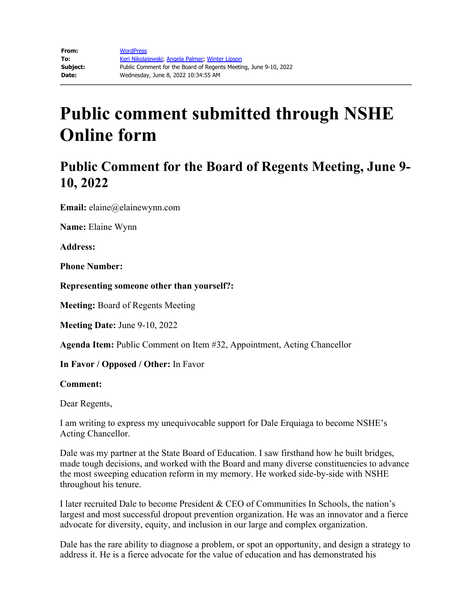## **Public Comment for the Board of Regents Meeting, June 9- 10, 2022**

**Email:** elaine@elainewynn.com

**Name:** Elaine Wynn

**Address:** 

**Phone Number:** 

**Representing someone other than yourself?:**

**Meeting:** Board of Regents Meeting

**Meeting Date:** June 9-10, 2022

**Agenda Item:** Public Comment on Item #32, Appointment, Acting Chancellor

**In Favor / Opposed / Other:** In Favor

#### **Comment:**

Dear Regents,

I am writing to express my unequivocable support for Dale Erquiaga to become NSHE's Acting Chancellor.

Dale was my partner at the State Board of Education. I saw firsthand how he built bridges, made tough decisions, and worked with the Board and many diverse constituencies to advance the most sweeping education reform in my memory. He worked side-by-side with NSHE throughout his tenure.

I later recruited Dale to become President & CEO of Communities In Schools, the nation's largest and most successful dropout prevention organization. He was an innovator and a fierce advocate for diversity, equity, and inclusion in our large and complex organization.

Dale has the rare ability to diagnose a problem, or spot an opportunity, and design a strategy to address it. He is a fierce advocate for the value of education and has demonstrated his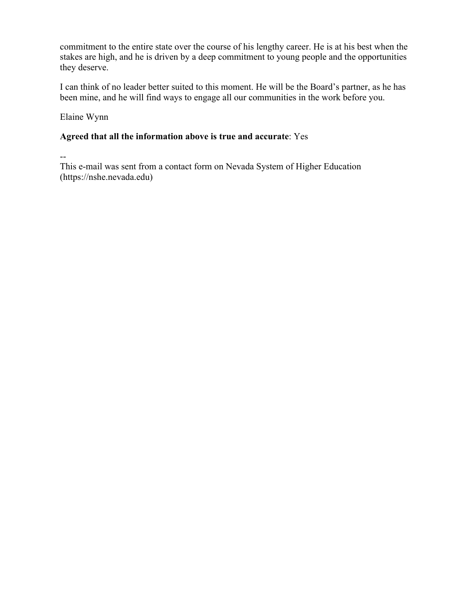commitment to the entire state over the course of his lengthy career. He is at his best when the stakes are high, and he is driven by a deep commitment to young people and the opportunities they deserve.

I can think of no leader better suited to this moment. He will be the Board's partner, as he has been mine, and he will find ways to engage all our communities in the work before you.

Elaine Wynn

### **Agreed that all the information above is true and accurate**: Yes

--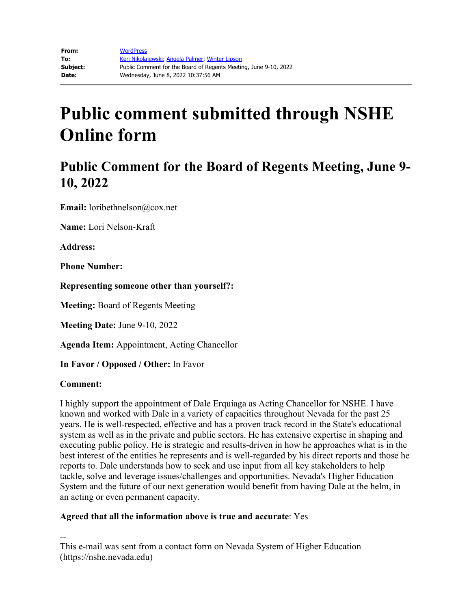## **Public Comment for the Board of Regents Meeting, June 9- 10, 2022**

**Email:** loribethnelson@cox.net

**Name:** Lori Nelson-Kraft

**Address:** 

**Phone Number:** 

**Representing someone other than yourself?:**

**Meeting:** Board of Regents Meeting

**Meeting Date:** June 9-10, 2022

**Agenda Item:** Appointment, Acting Chancellor

**In Favor / Opposed / Other:** In Favor

#### **Comment:**

I highly support the appointment of Dale Erquiaga as Acting Chancellor for NSHE. I have known and worked with Dale in a variety of capacities throughout Nevada for the past 25 years. He is well-respected, effective and has a proven track record in the State's educational system as well as in the private and public sectors. He has extensive expertise in shaping and executing public policy. He is strategic and results-driven in how he approaches what is in the best interest of the entities he represents and is well-regarded by his direct reports and those he reports to. Dale understands how to seek and use input from all key stakeholders to help tackle, solve and leverage issues/challenges and opportunities. Nevada's Higher Education System and the future of our next generation would benefit from having Dale at the helm, in an acting or even permanent capacity.

### **Agreed that all the information above is true and accurate**: Yes

--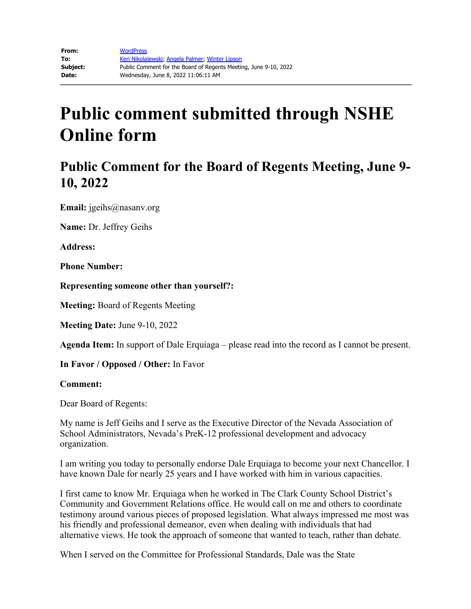## **Public Comment for the Board of Regents Meeting, June 9- 10, 2022**

**Email:** jgeihs@nasanv.org

**Name:** Dr. Jeffrey Geihs

**Address:** 

**Phone Number:** 

**Representing someone other than yourself?:**

**Meeting:** Board of Regents Meeting

**Meeting Date:** June 9-10, 2022

**Agenda Item:** In support of Dale Erquiaga – please read into the record as I cannot be present.

**In Favor / Opposed / Other:** In Favor

#### **Comment:**

Dear Board of Regents:

My name is Jeff Geihs and I serve as the Executive Director of the Nevada Association of School Administrators, Nevada's PreK-12 professional development and advocacy organization.

I am writing you today to personally endorse Dale Erquiaga to become your next Chancellor. I have known Dale for nearly 25 years and I have worked with him in various capacities.

I first came to know Mr. Erquiaga when he worked in The Clark County School District's Community and Government Relations office. He would call on me and others to coordinate testimony around various pieces of proposed legislation. What always impressed me most was his friendly and professional demeanor, even when dealing with individuals that had alternative views. He took the approach of someone that wanted to teach, rather than debate.

When I served on the Committee for Professional Standards, Dale was the State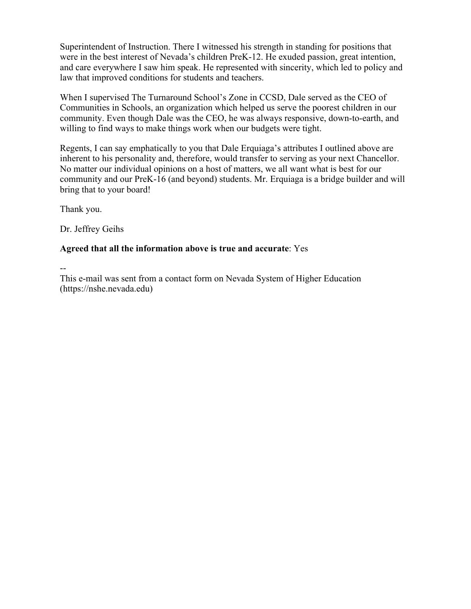Superintendent of Instruction. There I witnessed his strength in standing for positions that were in the best interest of Nevada's children PreK-12. He exuded passion, great intention, and care everywhere I saw him speak. He represented with sincerity, which led to policy and law that improved conditions for students and teachers.

When I supervised The Turnaround School's Zone in CCSD, Dale served as the CEO of Communities in Schools, an organization which helped us serve the poorest children in our community. Even though Dale was the CEO, he was always responsive, down-to-earth, and willing to find ways to make things work when our budgets were tight.

Regents, I can say emphatically to you that Dale Erquiaga's attributes I outlined above are inherent to his personality and, therefore, would transfer to serving as your next Chancellor. No matter our individual opinions on a host of matters, we all want what is best for our community and our PreK-16 (and beyond) students. Mr. Erquiaga is a bridge builder and will bring that to your board!

Thank you.

Dr. Jeffrey Geihs

### **Agreed that all the information above is true and accurate**: Yes

--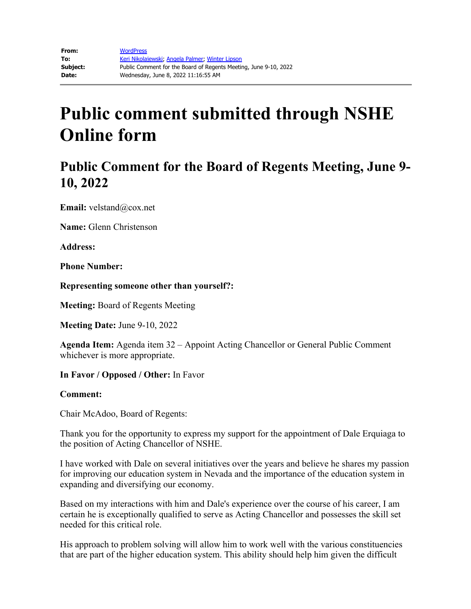## **Public Comment for the Board of Regents Meeting, June 9- 10, 2022**

**Email:** velstand@cox.net

**Name:** Glenn Christenson

**Address:** 

**Phone Number:** 

**Representing someone other than yourself?:**

**Meeting:** Board of Regents Meeting

**Meeting Date:** June 9-10, 2022

**Agenda Item:** Agenda item 32 – Appoint Acting Chancellor or General Public Comment whichever is more appropriate.

**In Favor / Opposed / Other:** In Favor

### **Comment:**

Chair McAdoo, Board of Regents:

Thank you for the opportunity to express my support for the appointment of Dale Erquiaga to the position of Acting Chancellor of NSHE.

I have worked with Dale on several initiatives over the years and believe he shares my passion for improving our education system in Nevada and the importance of the education system in expanding and diversifying our economy.

Based on my interactions with him and Dale's experience over the course of his career, I am certain he is exceptionally qualified to serve as Acting Chancellor and possesses the skill set needed for this critical role.

His approach to problem solving will allow him to work well with the various constituencies that are part of the higher education system. This ability should help him given the difficult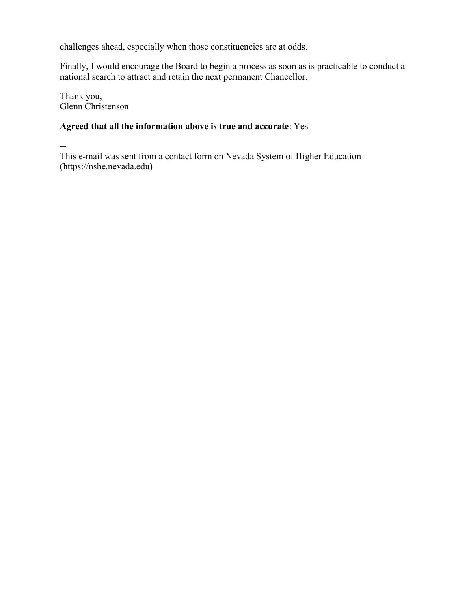challenges ahead, especially when those constituencies are at odds.

Finally, I would encourage the Board to begin a process as soon as is practicable to conduct a national search to attract and retain the next permanent Chancellor.

Thank you, Glenn Christenson

### **Agreed that all the information above is true and accurate**: Yes

--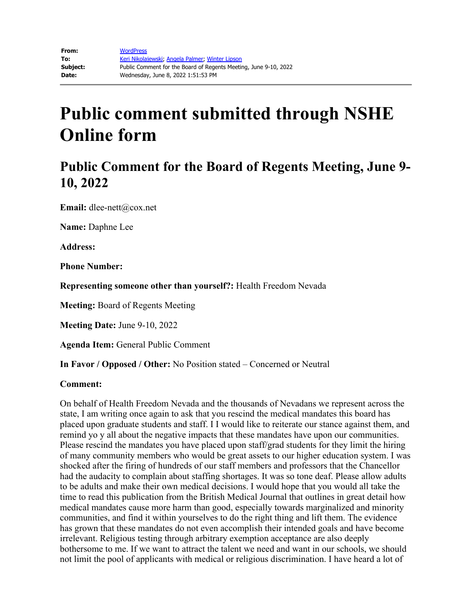## **Public Comment for the Board of Regents Meeting, June 9- 10, 2022**

**Email:** dlee-nett@cox.net

**Name:** Daphne Lee

**Address:**

**Phone Number:**

**Representing someone other than yourself?:** Health Freedom Nevada

**Meeting:** Board of Regents Meeting

**Meeting Date:** June 9-10, 2022

**Agenda Item:** General Public Comment

**In Favor / Opposed / Other:** No Position stated – Concerned or Neutral

#### **Comment:**

On behalf of Health Freedom Nevada and the thousands of Nevadans we represent across the state, I am writing once again to ask that you rescind the medical mandates this board has placed upon graduate students and staff. I I would like to reiterate our stance against them, and remind yo y all about the negative impacts that these mandates have upon our communities. Please rescind the mandates you have placed upon staff/grad students for they limit the hiring of many community members who would be great assets to our higher education system. I was shocked after the firing of hundreds of our staff members and professors that the Chancellor had the audacity to complain about staffing shortages. It was so tone deaf. Please allow adults to be adults and make their own medical decisions. I would hope that you would all take the time to read this publication from the British Medical Journal that outlines in great detail how medical mandates cause more harm than good, especially towards marginalized and minority communities, and find it within yourselves to do the right thing and lift them. The evidence has grown that these mandates do not even accomplish their intended goals and have become irrelevant. Religious testing through arbitrary exemption acceptance are also deeply bothersome to me. If we want to attract the talent we need and want in our schools, we should not limit the pool of applicants with medical or religious discrimination. I have heard a lot of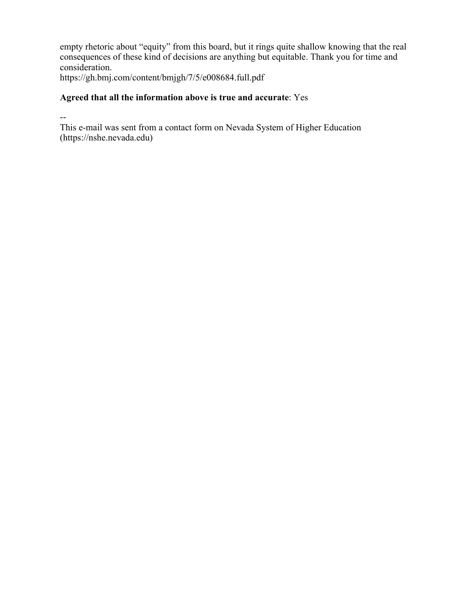empty rhetoric about "equity" from this board, but it rings quite shallow knowing that the real consequences of these kind of decisions are anything but equitable. Thank you for time and consideration.

https://gh.bmj.com/content/bmjgh/7/5/e008684.full.pdf

### **Agreed that all the information above is true and accurate**: Yes

--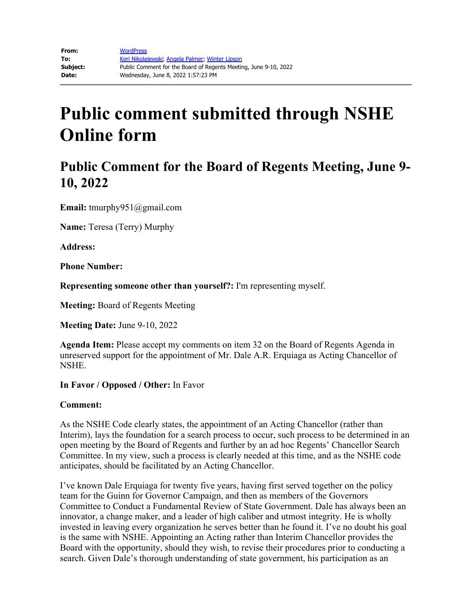## **Public Comment for the Board of Regents Meeting, June 9- 10, 2022**

**Email:** tmurphy951@gmail.com

**Name:** Teresa (Terry) Murphy

**Address:** 

**Phone Number:** 

**Representing someone other than yourself?:** I'm representing myself.

**Meeting:** Board of Regents Meeting

**Meeting Date:** June 9-10, 2022

**Agenda Item:** Please accept my comments on item 32 on the Board of Regents Agenda in unreserved support for the appointment of Mr. Dale A.R. Erquiaga as Acting Chancellor of NSHE.

**In Favor / Opposed / Other:** In Favor

### **Comment:**

As the NSHE Code clearly states, the appointment of an Acting Chancellor (rather than Interim), lays the foundation for a search process to occur, such process to be determined in an open meeting by the Board of Regents and further by an ad hoc Regents' Chancellor Search Committee. In my view, such a process is clearly needed at this time, and as the NSHE code anticipates, should be facilitated by an Acting Chancellor.

I've known Dale Erquiaga for twenty five years, having first served together on the policy team for the Guinn for Governor Campaign, and then as members of the Governors Committee to Conduct a Fundamental Review of State Government. Dale has always been an innovator, a change maker, and a leader of high caliber and utmost integrity. He is wholly invested in leaving every organization he serves better than he found it. I've no doubt his goal is the same with NSHE. Appointing an Acting rather than Interim Chancellor provides the Board with the opportunity, should they wish, to revise their procedures prior to conducting a search. Given Dale's thorough understanding of state government, his participation as an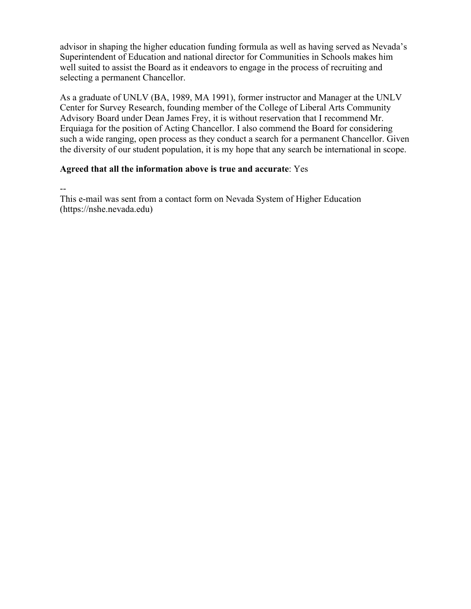advisor in shaping the higher education funding formula as well as having served as Nevada's Superintendent of Education and national director for Communities in Schools makes him well suited to assist the Board as it endeavors to engage in the process of recruiting and selecting a permanent Chancellor.

As a graduate of UNLV (BA, 1989, MA 1991), former instructor and Manager at the UNLV Center for Survey Research, founding member of the College of Liberal Arts Community Advisory Board under Dean James Frey, it is without reservation that I recommend Mr. Erquiaga for the position of Acting Chancellor. I also commend the Board for considering such a wide ranging, open process as they conduct a search for a permanent Chancellor. Given the diversity of our student population, it is my hope that any search be international in scope.

### **Agreed that all the information above is true and accurate**: Yes

--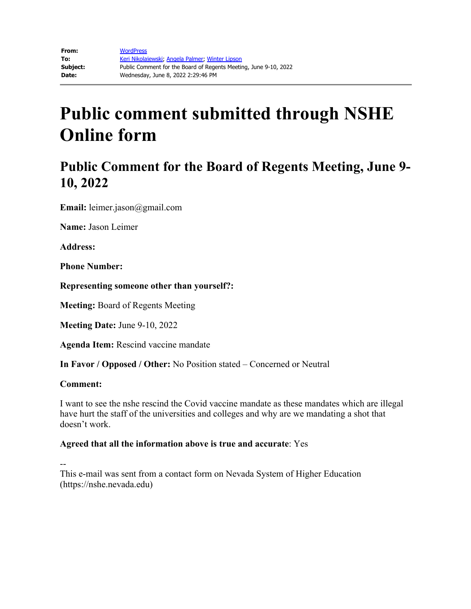## **Public Comment for the Board of Regents Meeting, June 9- 10, 2022**

**Email:** leimer.jason@gmail.com

**Name:** Jason Leimer

**Address:** 

**Phone Number:** 

**Representing someone other than yourself?:**

**Meeting:** Board of Regents Meeting

**Meeting Date:** June 9-10, 2022

**Agenda Item:** Rescind vaccine mandate

**In Favor / Opposed / Other:** No Position stated – Concerned or Neutral

#### **Comment:**

I want to see the nshe rescind the Covid vaccine mandate as these mandates which are illegal have hurt the staff of the universities and colleges and why are we mandating a shot that doesn't work.

### **Agreed that all the information above is true and accurate**: Yes

--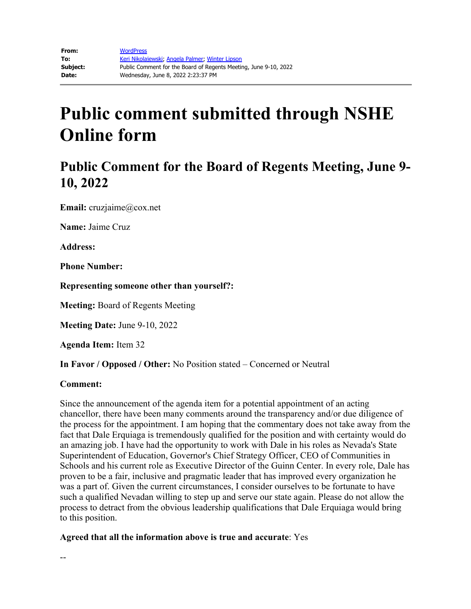## **Public Comment for the Board of Regents Meeting, June 9- 10, 2022**

**Email:** cruzjaime@cox.net

**Name:** Jaime Cruz

**Address:** 

**Phone Number:** 

**Representing someone other than yourself?:**

**Meeting:** Board of Regents Meeting

**Meeting Date:** June 9-10, 2022

**Agenda Item:** Item 32

**In Favor / Opposed / Other:** No Position stated – Concerned or Neutral

#### **Comment:**

--

Since the announcement of the agenda item for a potential appointment of an acting chancellor, there have been many comments around the transparency and/or due diligence of the process for the appointment. I am hoping that the commentary does not take away from the fact that Dale Erquiaga is tremendously qualified for the position and with certainty would do an amazing job. I have had the opportunity to work with Dale in his roles as Nevada's State Superintendent of Education, Governor's Chief Strategy Officer, CEO of Communities in Schools and his current role as Executive Director of the Guinn Center. In every role, Dale has proven to be a fair, inclusive and pragmatic leader that has improved every organization he was a part of. Given the current circumstances, I consider ourselves to be fortunate to have such a qualified Nevadan willing to step up and serve our state again. Please do not allow the process to detract from the obvious leadership qualifications that Dale Erquiaga would bring to this position.

**Agreed that all the information above is true and accurate**: Yes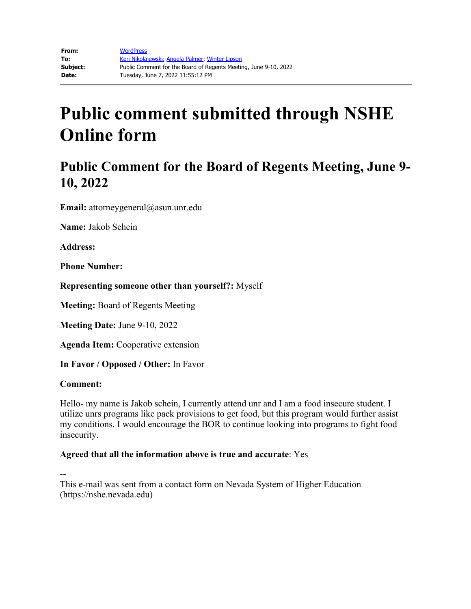## **Public Comment for the Board of Regents Meeting, June 9- 10, 2022**

**Email:** attorneygeneral@asun.unr.edu

**Name:** Jakob Schein

**Address:** 

**Phone Number:** 

**Representing someone other than yourself?:** Myself

**Meeting:** Board of Regents Meeting

**Meeting Date:** June 9-10, 2022

**Agenda Item:** Cooperative extension

**In Favor / Opposed / Other:** In Favor

### **Comment:**

Hello- my name is Jakob schein, I currently attend unr and I am a food insecure student. I utilize unrs programs like pack provisions to get food, but this program would further assist my conditions. I would encourage the BOR to continue looking into programs to fight food insecurity.

### **Agreed that all the information above is true and accurate**: Yes

--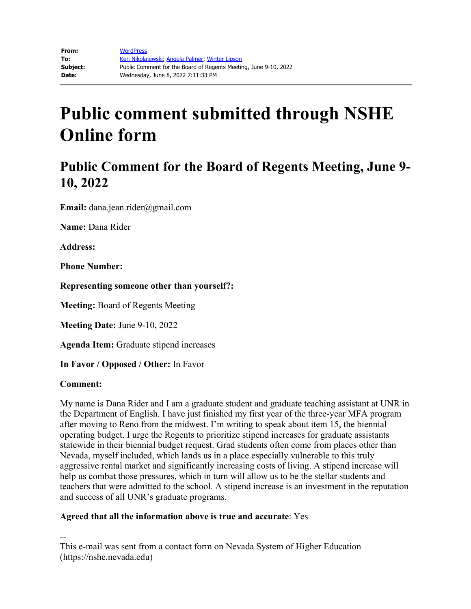## **Public Comment for the Board of Regents Meeting, June 9- 10, 2022**

**Email:** dana.jean.rider@gmail.com

**Name:** Dana Rider

**Address:**

**Phone Number:**

**Representing someone other than yourself?:**

**Meeting:** Board of Regents Meeting

**Meeting Date:** June 9-10, 2022

**Agenda Item:** Graduate stipend increases

**In Favor / Opposed / Other:** In Favor

### **Comment:**

My name is Dana Rider and I am a graduate student and graduate teaching assistant at UNR in the Department of English. I have just finished my first year of the three-year MFA program after moving to Reno from the midwest. I'm writing to speak about item 15, the biennial operating budget. I urge the Regents to prioritize stipend increases for graduate assistants statewide in their biennial budget request. Grad students often come from places other than Nevada, myself included, which lands us in a place especially vulnerable to this truly aggressive rental market and significantly increasing costs of living. A stipend increase will help us combat those pressures, which in turn will allow us to be the stellar students and teachers that were admitted to the school. A stipend increase is an investment in the reputation and success of all UNR's graduate programs.

### **Agreed that all the information above is true and accurate**: Yes

--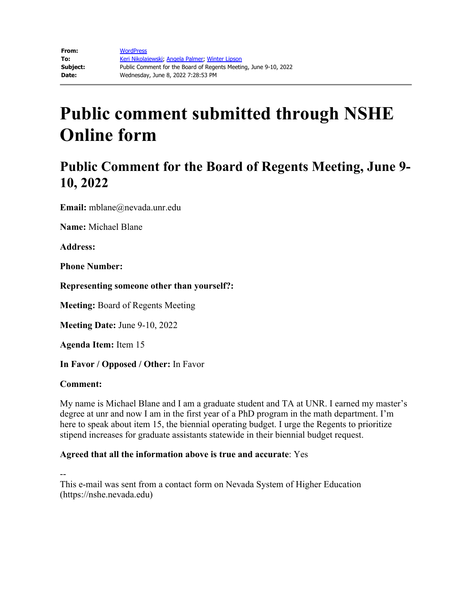## **Public Comment for the Board of Regents Meeting, June 9- 10, 2022**

**Email:** mblane@nevada.unr.edu

**Name:** Michael Blane

**Address:** 

**Phone Number:** 

**Representing someone other than yourself?:**

**Meeting:** Board of Regents Meeting

**Meeting Date:** June 9-10, 2022

**Agenda Item:** Item 15

**In Favor / Opposed / Other:** In Favor

### **Comment:**

My name is Michael Blane and I am a graduate student and TA at UNR. I earned my master's degree at unr and now I am in the first year of a PhD program in the math department. I'm here to speak about item 15, the biennial operating budget. I urge the Regents to prioritize stipend increases for graduate assistants statewide in their biennial budget request.

### **Agreed that all the information above is true and accurate**: Yes

--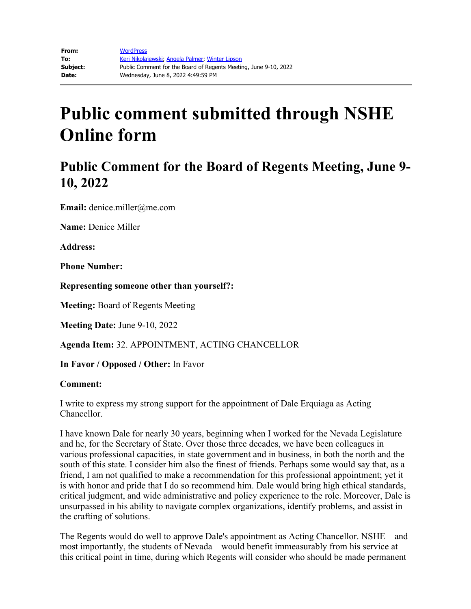## **Public Comment for the Board of Regents Meeting, June 9- 10, 2022**

**Email:** denice.miller@me.com

**Name:** Denice Miller

**Address:**

**Phone Number:**

**Representing someone other than yourself?:**

**Meeting:** Board of Regents Meeting

**Meeting Date:** June 9-10, 2022

**Agenda Item:** 32. APPOINTMENT, ACTING CHANCELLOR

**In Favor / Opposed / Other:** In Favor

### **Comment:**

I write to express my strong support for the appointment of Dale Erquiaga as Acting Chancellor.

I have known Dale for nearly 30 years, beginning when I worked for the Nevada Legislature and he, for the Secretary of State. Over those three decades, we have been colleagues in various professional capacities, in state government and in business, in both the north and the south of this state. I consider him also the finest of friends. Perhaps some would say that, as a friend, I am not qualified to make a recommendation for this professional appointment; yet it is with honor and pride that I do so recommend him. Dale would bring high ethical standards, critical judgment, and wide administrative and policy experience to the role. Moreover, Dale is unsurpassed in his ability to navigate complex organizations, identify problems, and assist in the crafting of solutions.

The Regents would do well to approve Dale's appointment as Acting Chancellor. NSHE – and most importantly, the students of Nevada – would benefit immeasurably from his service at this critical point in time, during which Regents will consider who should be made permanent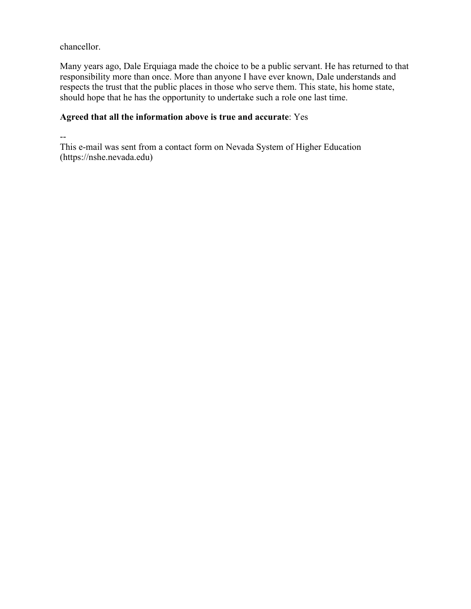chancellor.

Many years ago, Dale Erquiaga made the choice to be a public servant. He has returned to that responsibility more than once. More than anyone I have ever known, Dale understands and respects the trust that the public places in those who serve them. This state, his home state, should hope that he has the opportunity to undertake such a role one last time.

### **Agreed that all the information above is true and accurate**: Yes

--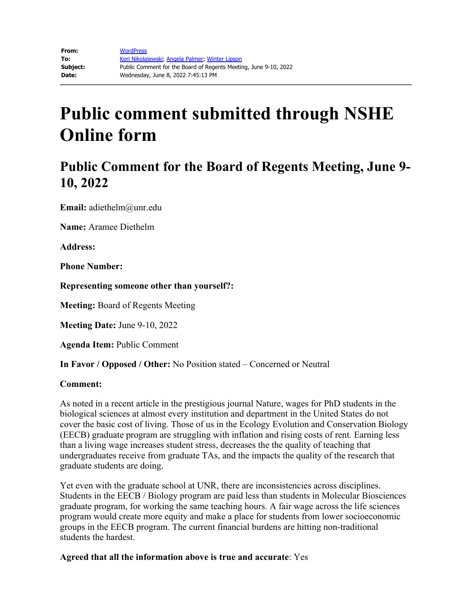## **Public Comment for the Board of Regents Meeting, June 9- 10, 2022**

**Email:** adiethelm@unr.edu

**Name:** Aramee Diethelm

**Address:** 

**Phone Number:** 

**Representing someone other than yourself?:**

**Meeting:** Board of Regents Meeting

**Meeting Date:** June 9-10, 2022

**Agenda Item:** Public Comment

**In Favor / Opposed / Other:** No Position stated – Concerned or Neutral

#### **Comment:**

As noted in a recent article in the prestigious journal Nature, wages for PhD students in the biological sciences at almost every institution and department in the United States do not cover the basic cost of living. Those of us in the Ecology Evolution and Conservation Biology (EECB) graduate program are struggling with inflation and rising costs of rent. Earning less than a living wage increases student stress, decreases the the quality of teaching that undergraduates receive from graduate TAs, and the impacts the quality of the research that graduate students are doing.

Yet even with the graduate school at UNR, there are inconsistencies across disciplines. Students in the EECB / Biology program are paid less than students in Molecular Biosciences graduate program, for working the same teaching hours. A fair wage across the life sciences program would create more equity and make a place for students from lower socioeconomic groups in the EECB program. The current financial burdens are hitting non-traditional students the hardest.

**Agreed that all the information above is true and accurate**: Yes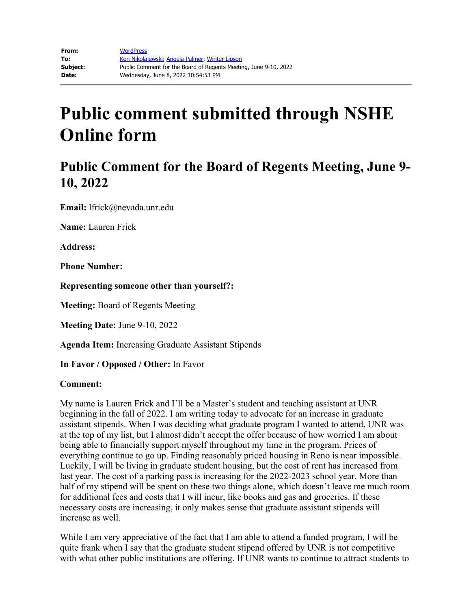## **Public Comment for the Board of Regents Meeting, June 9- 10, 2022**

**Email:** lfrick@nevada.unr.edu

**Name:** Lauren Frick

**Address:**

**Phone Number:**

**Representing someone other than yourself?:**

**Meeting:** Board of Regents Meeting

**Meeting Date:** June 9-10, 2022

**Agenda Item:** Increasing Graduate Assistant Stipends

**In Favor / Opposed / Other:** In Favor

#### **Comment:**

My name is Lauren Frick and I'll be a Master's student and teaching assistant at UNR beginning in the fall of 2022. I am writing today to advocate for an increase in graduate assistant stipends. When I was deciding what graduate program I wanted to attend, UNR was at the top of my list, but I almost didn't accept the offer because of how worried I am about being able to financially support myself throughout my time in the program. Prices of everything continue to go up. Finding reasonably priced housing in Reno is near impossible. Luckily, I will be living in graduate student housing, but the cost of rent has increased from last year. The cost of a parking pass is increasing for the 2022-2023 school year. More than half of my stipend will be spent on these two things alone, which doesn't leave me much room for additional fees and costs that I will incur, like books and gas and groceries. If these necessary costs are increasing, it only makes sense that graduate assistant stipends will increase as well.

While I am very appreciative of the fact that I am able to attend a funded program, I will be quite frank when I say that the graduate student stipend offered by UNR is not competitive with what other public institutions are offering. If UNR wants to continue to attract students to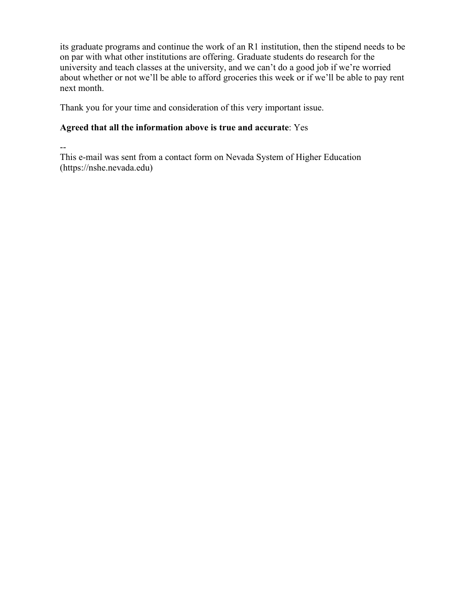its graduate programs and continue the work of an R1 institution, then the stipend needs to be on par with what other institutions are offering. Graduate students do research for the university and teach classes at the university, and we can't do a good job if we're worried about whether or not we'll be able to afford groceries this week or if we'll be able to pay rent next month.

Thank you for your time and consideration of this very important issue.

### **Agreed that all the information above is true and accurate**: Yes

--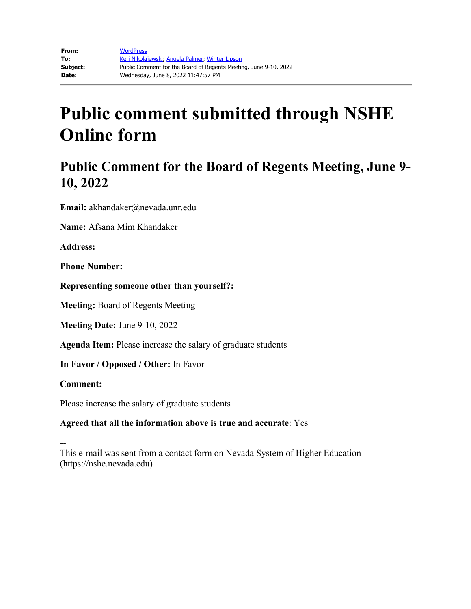## **Public Comment for the Board of Regents Meeting, June 9- 10, 2022**

**Email:** akhandaker@nevada.unr.edu

**Name:** Afsana Mim Khandaker

**Address:** 

**Phone Number:** 

**Representing someone other than yourself?:**

**Meeting:** Board of Regents Meeting

**Meeting Date:** June 9-10, 2022

**Agenda Item:** Please increase the salary of graduate students

**In Favor / Opposed / Other:** In Favor

**Comment:**

Please increase the salary of graduate students

### **Agreed that all the information above is true and accurate**: Yes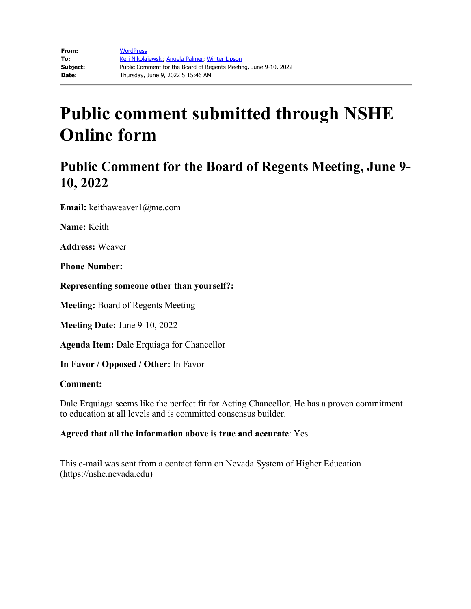## **Public Comment for the Board of Regents Meeting, June 9- 10, 2022**

**Email:** keithaweaver1@me.com

**Name:** Keith

**Address:** Weaver

**Phone Number:** 

**Representing someone other than yourself?:**

**Meeting:** Board of Regents Meeting

**Meeting Date:** June 9-10, 2022

**Agenda Item:** Dale Erquiaga for Chancellor

**In Favor / Opposed / Other:** In Favor

### **Comment:**

Dale Erquiaga seems like the perfect fit for Acting Chancellor. He has a proven commitment to education at all levels and is committed consensus builder.

### **Agreed that all the information above is true and accurate**: Yes

--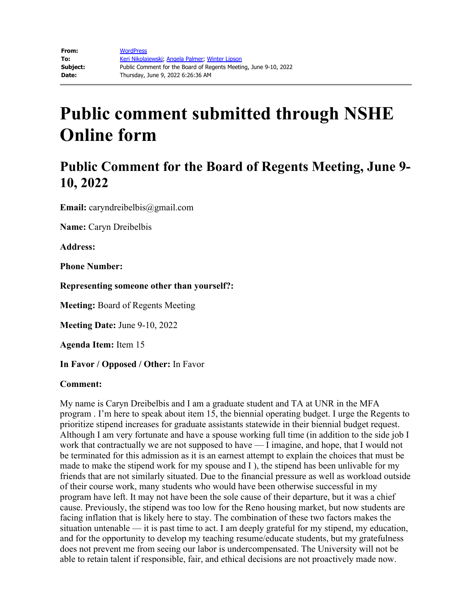## **Public Comment for the Board of Regents Meeting, June 9- 10, 2022**

**Email:** caryndreibelbis@gmail.com

**Name:** Caryn Dreibelbis

**Address:**

**Phone Number:** 

**Representing someone other than yourself?:**

**Meeting:** Board of Regents Meeting

**Meeting Date:** June 9-10, 2022

**Agenda Item:** Item 15

**In Favor / Opposed / Other:** In Favor

#### **Comment:**

My name is Caryn Dreibelbis and I am a graduate student and TA at UNR in the MFA program . I'm here to speak about item 15, the biennial operating budget. I urge the Regents to prioritize stipend increases for graduate assistants statewide in their biennial budget request. Although I am very fortunate and have a spouse working full time (in addition to the side job I work that contractually we are not supposed to have — I imagine, and hope, that I would not be terminated for this admission as it is an earnest attempt to explain the choices that must be made to make the stipend work for my spouse and I ), the stipend has been unlivable for my friends that are not similarly situated. Due to the financial pressure as well as workload outside of their course work, many students who would have been otherwise successful in my program have left. It may not have been the sole cause of their departure, but it was a chief cause. Previously, the stipend was too low for the Reno housing market, but now students are facing inflation that is likely here to stay. The combination of these two factors makes the situation untenable — it is past time to act. I am deeply grateful for my stipend, my education, and for the opportunity to develop my teaching resume/educate students, but my gratefulness does not prevent me from seeing our labor is undercompensated. The University will not be able to retain talent if responsible, fair, and ethical decisions are not proactively made now.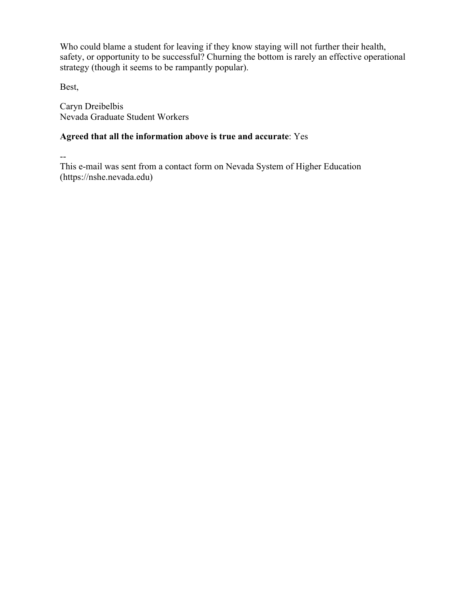Who could blame a student for leaving if they know staying will not further their health, safety, or opportunity to be successful? Churning the bottom is rarely an effective operational strategy (though it seems to be rampantly popular).

Best,

Caryn Dreibelbis Nevada Graduate Student Workers

### **Agreed that all the information above is true and accurate**: Yes

--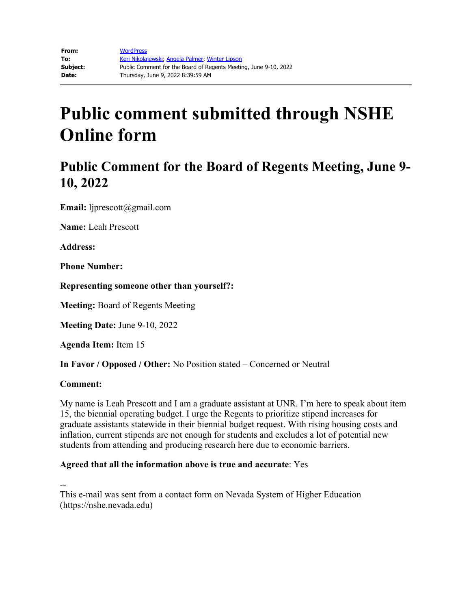## **Public Comment for the Board of Regents Meeting, June 9- 10, 2022**

**Email:** ljprescott@gmail.com

**Name:** Leah Prescott

**Address:** 

**Phone Number:** 

**Representing someone other than yourself?:**

**Meeting:** Board of Regents Meeting

**Meeting Date:** June 9-10, 2022

**Agenda Item:** Item 15

**In Favor / Opposed / Other:** No Position stated – Concerned or Neutral

### **Comment:**

My name is Leah Prescott and I am a graduate assistant at UNR. I'm here to speak about item 15, the biennial operating budget. I urge the Regents to prioritize stipend increases for graduate assistants statewide in their biennial budget request. With rising housing costs and inflation, current stipends are not enough for students and excludes a lot of potential new students from attending and producing research here due to economic barriers.

### **Agreed that all the information above is true and accurate**: Yes

--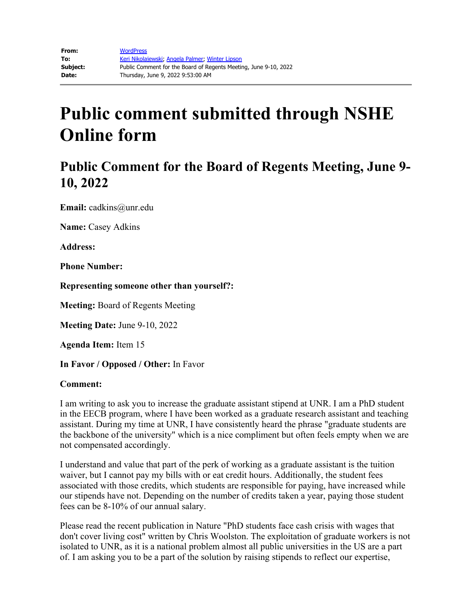## **Public Comment for the Board of Regents Meeting, June 9- 10, 2022**

**Email:** cadkins@unr.edu

**Name:** Casey Adkins

**Address:**

**Phone Number:**

**Representing someone other than yourself?:**

**Meeting:** Board of Regents Meeting

**Meeting Date:** June 9-10, 2022

**Agenda Item:** Item 15

**In Favor / Opposed / Other:** In Favor

#### **Comment:**

I am writing to ask you to increase the graduate assistant stipend at UNR. I am a PhD student in the EECB program, where I have been worked as a graduate research assistant and teaching assistant. During my time at UNR, I have consistently heard the phrase "graduate students are the backbone of the university" which is a nice compliment but often feels empty when we are not compensated accordingly.

I understand and value that part of the perk of working as a graduate assistant is the tuition waiver, but I cannot pay my bills with or eat credit hours. Additionally, the student fees associated with those credits, which students are responsible for paying, have increased while our stipends have not. Depending on the number of credits taken a year, paying those student fees can be 8-10% of our annual salary.

Please read the recent publication in Nature "PhD students face cash crisis with wages that don't cover living cost" written by Chris Woolston. The exploitation of graduate workers is not isolated to UNR, as it is a national problem almost all public universities in the US are a part of. I am asking you to be a part of the solution by raising stipends to reflect our expertise,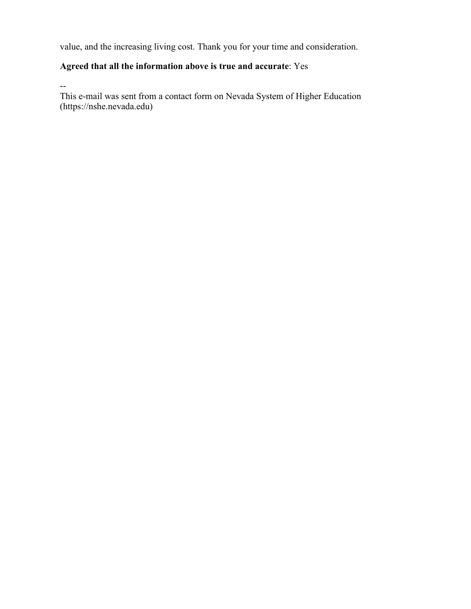value, and the increasing living cost. Thank you for your time and consideration.

### **Agreed that all the information above is true and accurate**: Yes

--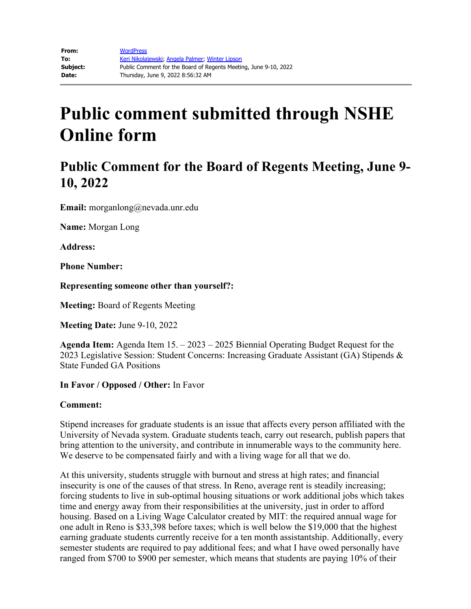## **Public Comment for the Board of Regents Meeting, June 9- 10, 2022**

**Email:** morganlong@nevada.unr.edu

**Name:** Morgan Long

**Address:** 

**Phone Number:** 

**Representing someone other than yourself?:**

**Meeting:** Board of Regents Meeting

**Meeting Date:** June 9-10, 2022

**Agenda Item:** Agenda Item 15. – 2023 – 2025 Biennial Operating Budget Request for the 2023 Legislative Session: Student Concerns: Increasing Graduate Assistant (GA) Stipends & State Funded GA Positions

**In Favor / Opposed / Other:** In Favor

### **Comment:**

Stipend increases for graduate students is an issue that affects every person affiliated with the University of Nevada system. Graduate students teach, carry out research, publish papers that bring attention to the university, and contribute in innumerable ways to the community here. We deserve to be compensated fairly and with a living wage for all that we do.

At this university, students struggle with burnout and stress at high rates; and financial insecurity is one of the causes of that stress. In Reno, average rent is steadily increasing; forcing students to live in sub-optimal housing situations or work additional jobs which takes time and energy away from their responsibilities at the university, just in order to afford housing. Based on a Living Wage Calculator created by MIT: the required annual wage for one adult in Reno is \$33,398 before taxes; which is well below the \$19,000 that the highest earning graduate students currently receive for a ten month assistantship. Additionally, every semester students are required to pay additional fees; and what I have owed personally have ranged from \$700 to \$900 per semester, which means that students are paying 10% of their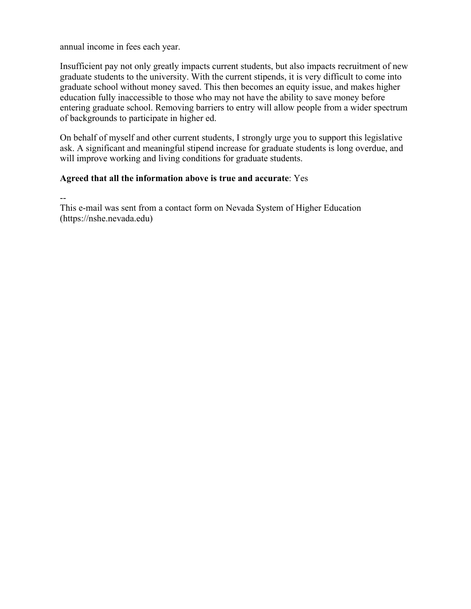annual income in fees each year.

Insufficient pay not only greatly impacts current students, but also impacts recruitment of new graduate students to the university. With the current stipends, it is very difficult to come into graduate school without money saved. This then becomes an equity issue, and makes higher education fully inaccessible to those who may not have the ability to save money before entering graduate school. Removing barriers to entry will allow people from a wider spectrum of backgrounds to participate in higher ed.

On behalf of myself and other current students, I strongly urge you to support this legislative ask. A significant and meaningful stipend increase for graduate students is long overdue, and will improve working and living conditions for graduate students.

### **Agreed that all the information above is true and accurate**: Yes

--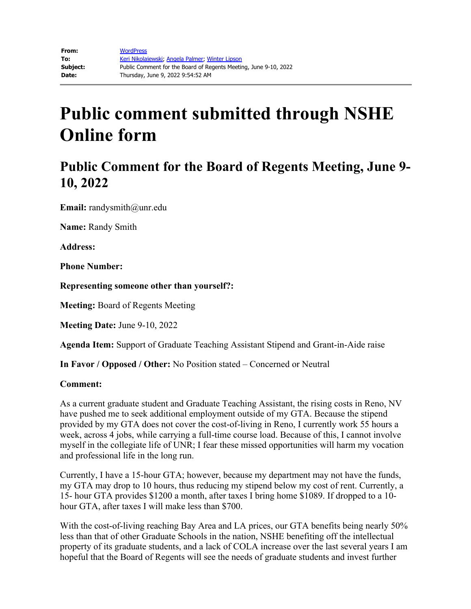## **Public Comment for the Board of Regents Meeting, June 9- 10, 2022**

**Email:** randysmith@unr.edu

**Name:** Randy Smith

**Address:** 

**Phone Number:** 

**Representing someone other than yourself?:**

**Meeting:** Board of Regents Meeting

**Meeting Date:** June 9-10, 2022

**Agenda Item:** Support of Graduate Teaching Assistant Stipend and Grant-in-Aide raise

**In Favor / Opposed / Other:** No Position stated – Concerned or Neutral

#### **Comment:**

As a current graduate student and Graduate Teaching Assistant, the rising costs in Reno, NV have pushed me to seek additional employment outside of my GTA. Because the stipend provided by my GTA does not cover the cost-of-living in Reno, I currently work 55 hours a week, across 4 jobs, while carrying a full-time course load. Because of this, I cannot involve myself in the collegiate life of UNR; I fear these missed opportunities will harm my vocation and professional life in the long run.

Currently, I have a 15-hour GTA; however, because my department may not have the funds, my GTA may drop to 10 hours, thus reducing my stipend below my cost of rent. Currently, a 15- hour GTA provides \$1200 a month, after taxes I bring home \$1089. If dropped to a 10 hour GTA, after taxes I will make less than \$700.

With the cost-of-living reaching Bay Area and LA prices, our GTA benefits being nearly 50% less than that of other Graduate Schools in the nation, NSHE benefiting off the intellectual property of its graduate students, and a lack of COLA increase over the last several years I am hopeful that the Board of Regents will see the needs of graduate students and invest further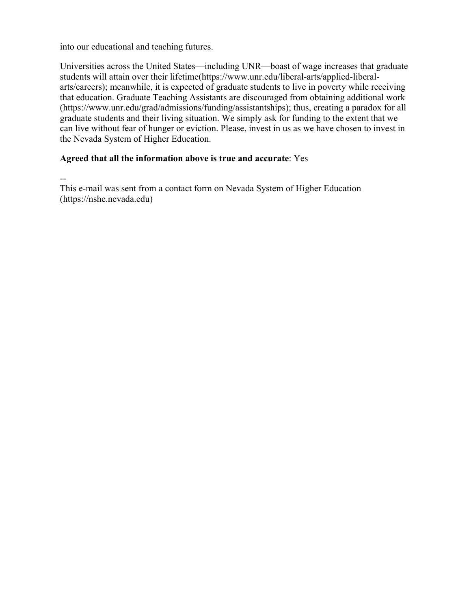into our educational and teaching futures.

Universities across the United States—including UNR—boast of wage increases that graduate students will attain over their lifetime(https://www.unr.edu/liberal-arts/applied-liberalarts/careers); meanwhile, it is expected of graduate students to live in poverty while receiving that education. Graduate Teaching Assistants are discouraged from obtaining additional work (https://www.unr.edu/grad/admissions/funding/assistantships); thus, creating a paradox for all graduate students and their living situation. We simply ask for funding to the extent that we can live without fear of hunger or eviction. Please, invest in us as we have chosen to invest in the Nevada System of Higher Education.

### **Agreed that all the information above is true and accurate**: Yes

--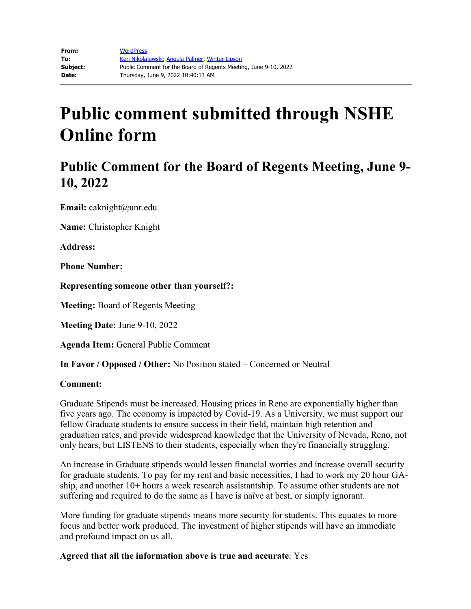## **Public Comment for the Board of Regents Meeting, June 9- 10, 2022**

**Email:** caknight@unr.edu

**Name:** Christopher Knight

**Address:**

**Phone Number:**

**Representing someone other than yourself?:**

**Meeting:** Board of Regents Meeting

**Meeting Date:** June 9-10, 2022

**Agenda Item:** General Public Comment

**In Favor / Opposed / Other:** No Position stated – Concerned or Neutral

#### **Comment:**

Graduate Stipends must be increased. Housing prices in Reno are exponentially higher than five years ago. The economy is impacted by Covid-19. As a University, we must support our fellow Graduate students to ensure success in their field, maintain high retention and graduation rates, and provide widespread knowledge that the University of Nevada, Reno, not only hears, but LISTENS to their students, especially when they're financially struggling.

An increase in Graduate stipends would lessen financial worries and increase overall security for graduate students. To pay for my rent and basic necessities, I had to work my 20 hour GAship, and another 10+ hours a week research assistantship. To assume other students are not suffering and required to do the same as I have is naïve at best, or simply ignorant.

More funding for graduate stipends means more security for students. This equates to more focus and better work produced. The investment of higher stipends will have an immediate and profound impact on us all.

### **Agreed that all the information above is true and accurate**: Yes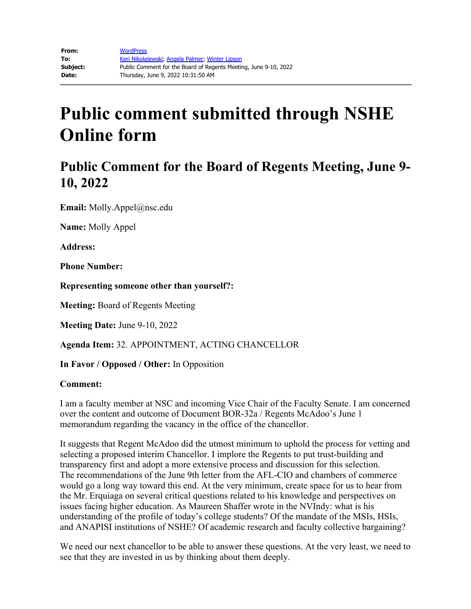## **Public Comment for the Board of Regents Meeting, June 9- 10, 2022**

**Email:** Molly.Appel@nsc.edu

**Name:** Molly Appel

**Address:**

**Phone Number:**

**Representing someone other than yourself?:**

**Meeting:** Board of Regents Meeting

**Meeting Date:** June 9-10, 2022

**Agenda Item:** 32. APPOINTMENT, ACTING CHANCELLOR

**In Favor / Opposed / Other:** In Opposition

#### **Comment:**

I am a faculty member at NSC and incoming Vice Chair of the Faculty Senate. I am concerned over the content and outcome of Document BOR-32a / Regents McAdoo's June 1 memorandum regarding the vacancy in the office of the chancellor.

It suggests that Regent McAdoo did the utmost minimum to uphold the process for vetting and selecting a proposed interim Chancellor. I implore the Regents to put trust-building and transparency first and adopt a more extensive process and discussion for this selection. The recommendations of the June 9th letter from the AFL-CIO and chambers of commerce would go a long way toward this end. At the very minimum, create space for us to hear from the Mr. Erquiaga on several critical questions related to his knowledge and perspectives on issues facing higher education. As Maureen Shaffer wrote in the NVIndy: what is his understanding of the profile of today's college students? Of the mandate of the MSIs, HSIs, and ANAPISI institutions of NSHE? Of academic research and faculty collective bargaining?

We need our next chancellor to be able to answer these questions. At the very least, we need to see that they are invested in us by thinking about them deeply.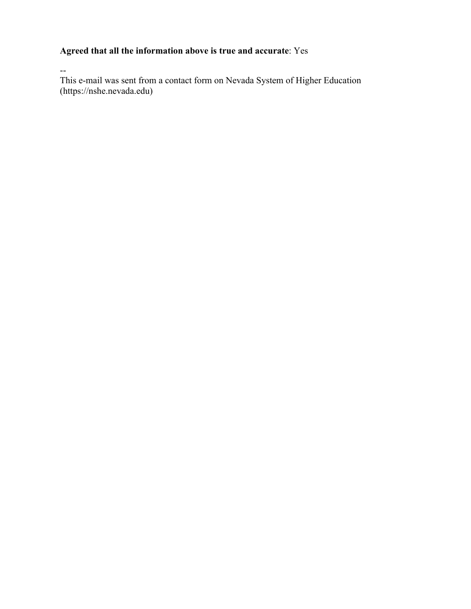### **Agreed that all the information above is true and accurate**: Yes

--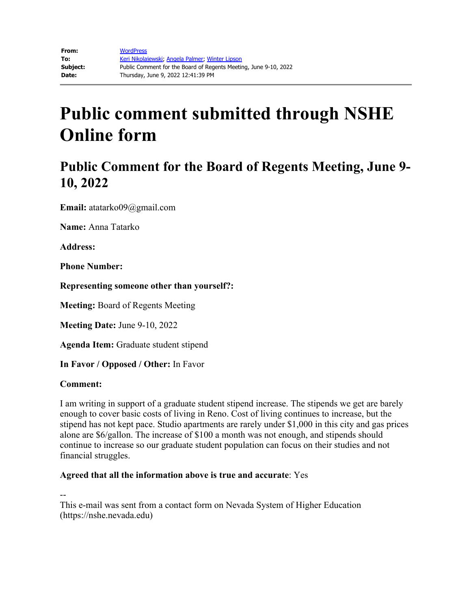## **Public Comment for the Board of Regents Meeting, June 9- 10, 2022**

**Email:** atatarko09@gmail.com

**Name:** Anna Tatarko

**Address:** 

**Phone Number:** 

**Representing someone other than yourself?:**

**Meeting:** Board of Regents Meeting

**Meeting Date:** June 9-10, 2022

**Agenda Item:** Graduate student stipend

**In Favor / Opposed / Other:** In Favor

### **Comment:**

I am writing in support of a graduate student stipend increase. The stipends we get are barely enough to cover basic costs of living in Reno. Cost of living continues to increase, but the stipend has not kept pace. Studio apartments are rarely under \$1,000 in this city and gas prices alone are \$6/gallon. The increase of \$100 a month was not enough, and stipends should continue to increase so our graduate student population can focus on their studies and not financial struggles.

### **Agreed that all the information above is true and accurate**: Yes

--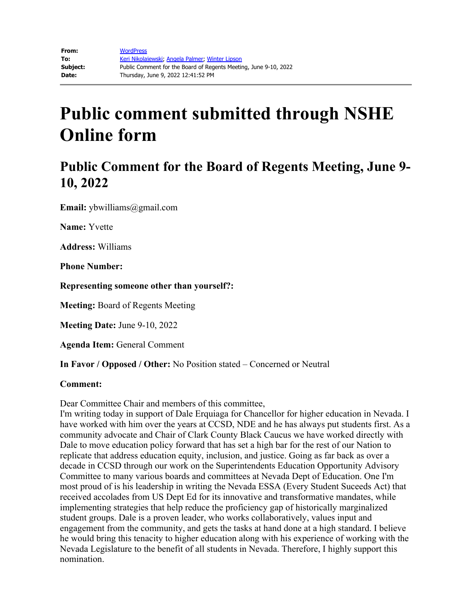## **Public Comment for the Board of Regents Meeting, June 9- 10, 2022**

**Email:** ybwilliams@gmail.com

**Name:** Yvette

**Address:** Williams

**Phone Number:** 

**Representing someone other than yourself?:**

**Meeting:** Board of Regents Meeting

**Meeting Date:** June 9-10, 2022

**Agenda Item:** General Comment

**In Favor / Opposed / Other:** No Position stated – Concerned or Neutral

#### **Comment:**

Dear Committee Chair and members of this committee,

I'm writing today in support of Dale Erquiaga for Chancellor for higher education in Nevada. I have worked with him over the years at CCSD, NDE and he has always put students first. As a community advocate and Chair of Clark County Black Caucus we have worked directly with Dale to move education policy forward that has set a high bar for the rest of our Nation to replicate that address education equity, inclusion, and justice. Going as far back as over a decade in CCSD through our work on the Superintendents Education Opportunity Advisory Committee to many various boards and committees at Nevada Dept of Education. One I'm most proud of is his leadership in writing the Nevada ESSA (Every Student Suceeds Act) that received accolades from US Dept Ed for its innovative and transformative mandates, while implementing strategies that help reduce the proficiency gap of historically marginalized student groups. Dale is a proven leader, who works collaboratively, values input and engagement from the community, and gets the tasks at hand done at a high standard. I believe he would bring this tenacity to higher education along with his experience of working with the Nevada Legislature to the benefit of all students in Nevada. Therefore, I highly support this nomination.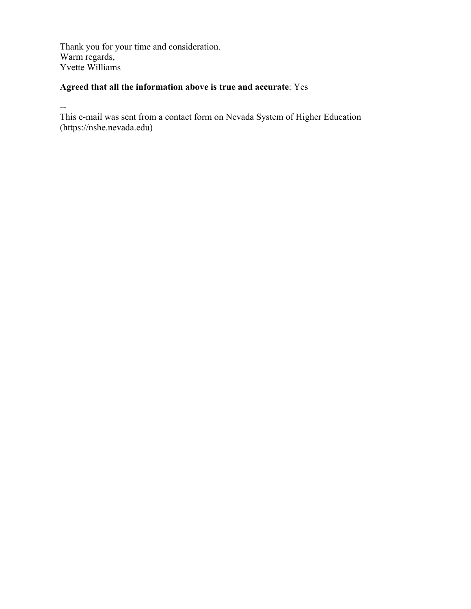Thank you for your time and consideration. Warm regards, Yvette Williams

### **Agreed that all the information above is true and accurate**: Yes

--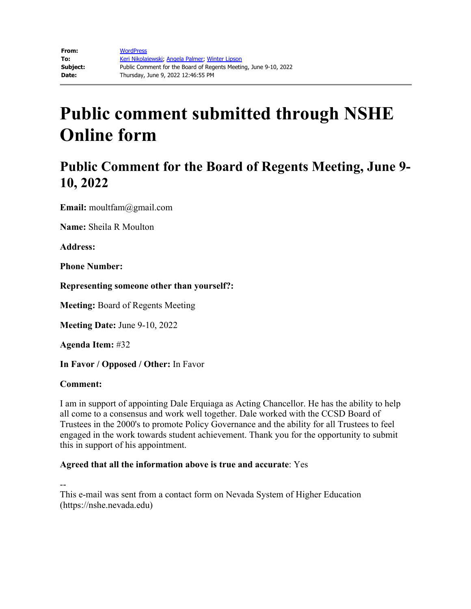## **Public Comment for the Board of Regents Meeting, June 9- 10, 2022**

**Email:** moultfam@gmail.com

**Name:** Sheila R Moulton

**Address:** 

**Phone Number:** 

**Representing someone other than yourself?:**

**Meeting:** Board of Regents Meeting

**Meeting Date:** June 9-10, 2022

**Agenda Item:** #32

**In Favor / Opposed / Other:** In Favor

### **Comment:**

I am in support of appointing Dale Erquiaga as Acting Chancellor. He has the ability to help all come to a consensus and work well together. Dale worked with the CCSD Board of Trustees in the 2000's to promote Policy Governance and the ability for all Trustees to feel engaged in the work towards student achievement. Thank you for the opportunity to submit this in support of his appointment.

### **Agreed that all the information above is true and accurate**: Yes

--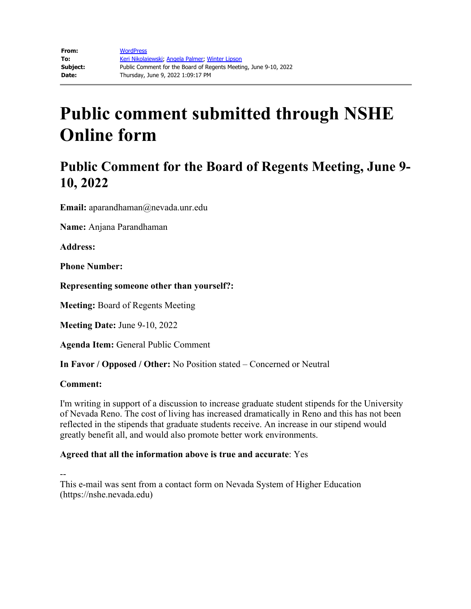## **Public Comment for the Board of Regents Meeting, June 9- 10, 2022**

**Email:** aparandhaman@nevada.unr.edu

**Name:** Anjana Parandhaman

**Address:** 

**Phone Number:** 

**Representing someone other than yourself?:**

**Meeting:** Board of Regents Meeting

**Meeting Date:** June 9-10, 2022

**Agenda Item:** General Public Comment

**In Favor / Opposed / Other:** No Position stated – Concerned or Neutral

### **Comment:**

I'm writing in support of a discussion to increase graduate student stipends for the University of Nevada Reno. The cost of living has increased dramatically in Reno and this has not been reflected in the stipends that graduate students receive. An increase in our stipend would greatly benefit all, and would also promote better work environments.

### **Agreed that all the information above is true and accurate**: Yes

--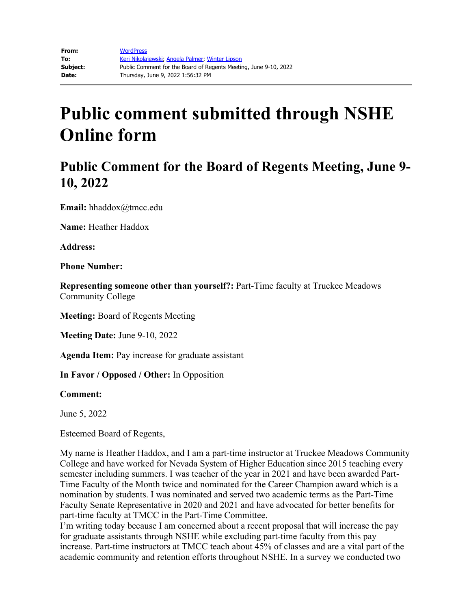## **Public Comment for the Board of Regents Meeting, June 9- 10, 2022**

**Email:** hhaddox@tmcc.edu

**Name:** Heather Haddox

**Address:** 

**Phone Number:** 

**Representing someone other than yourself?:** Part-Time faculty at Truckee Meadows Community College

**Meeting:** Board of Regents Meeting

**Meeting Date:** June 9-10, 2022

**Agenda Item:** Pay increase for graduate assistant

**In Favor / Opposed / Other:** In Opposition

**Comment:**

June 5, 2022

Esteemed Board of Regents,

My name is Heather Haddox, and I am a part-time instructor at Truckee Meadows Community College and have worked for Nevada System of Higher Education since 2015 teaching every semester including summers. I was teacher of the year in 2021 and have been awarded Part-Time Faculty of the Month twice and nominated for the Career Champion award which is a nomination by students. I was nominated and served two academic terms as the Part-Time Faculty Senate Representative in 2020 and 2021 and have advocated for better benefits for part-time faculty at TMCC in the Part-Time Committee.

I'm writing today because I am concerned about a recent proposal that will increase the pay for graduate assistants through NSHE while excluding part-time faculty from this pay increase. Part-time instructors at TMCC teach about 45% of classes and are a vital part of the academic community and retention efforts throughout NSHE. In a survey we conducted two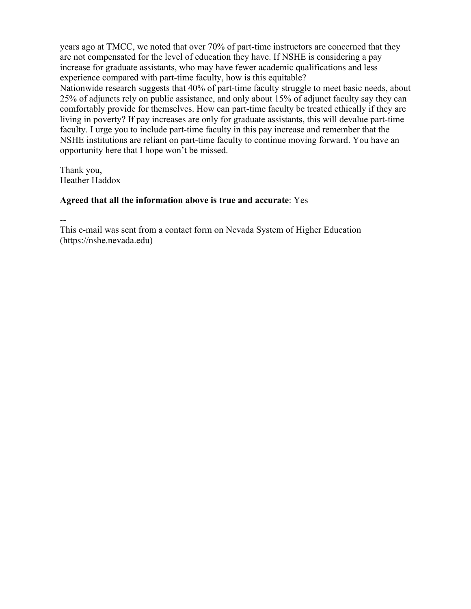years ago at TMCC, we noted that over 70% of part-time instructors are concerned that they are not compensated for the level of education they have. If NSHE is considering a pay increase for graduate assistants, who may have fewer academic qualifications and less experience compared with part-time faculty, how is this equitable?

Nationwide research suggests that 40% of part-time faculty struggle to meet basic needs, about 25% of adjuncts rely on public assistance, and only about 15% of adjunct faculty say they can comfortably provide for themselves. How can part-time faculty be treated ethically if they are living in poverty? If pay increases are only for graduate assistants, this will devalue part-time faculty. I urge you to include part-time faculty in this pay increase and remember that the NSHE institutions are reliant on part-time faculty to continue moving forward. You have an opportunity here that I hope won't be missed.

Thank you, Heather Haddox

### **Agreed that all the information above is true and accurate**: Yes

--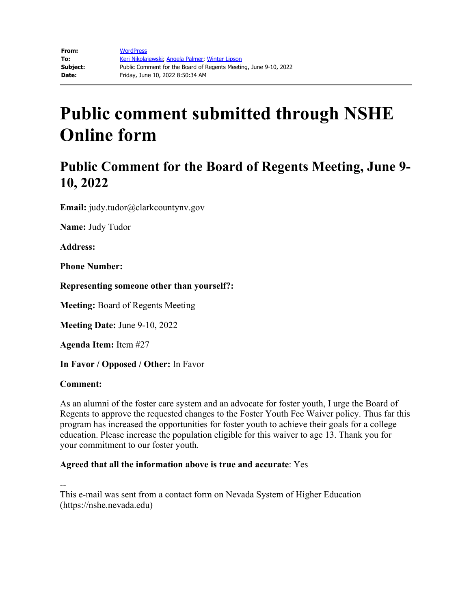## **Public Comment for the Board of Regents Meeting, June 9- 10, 2022**

**Email:** judy.tudor@clarkcountynv.gov

**Name:** Judy Tudor

**Address:** 

**Phone Number:** 

**Representing someone other than yourself?:**

**Meeting:** Board of Regents Meeting

**Meeting Date:** June 9-10, 2022

**Agenda Item:** Item #27

**In Favor / Opposed / Other:** In Favor

#### **Comment:**

As an alumni of the foster care system and an advocate for foster youth, I urge the Board of Regents to approve the requested changes to the Foster Youth Fee Waiver policy. Thus far this program has increased the opportunities for foster youth to achieve their goals for a college education. Please increase the population eligible for this waiver to age 13. Thank you for your commitment to our foster youth.

### **Agreed that all the information above is true and accurate**: Yes

--